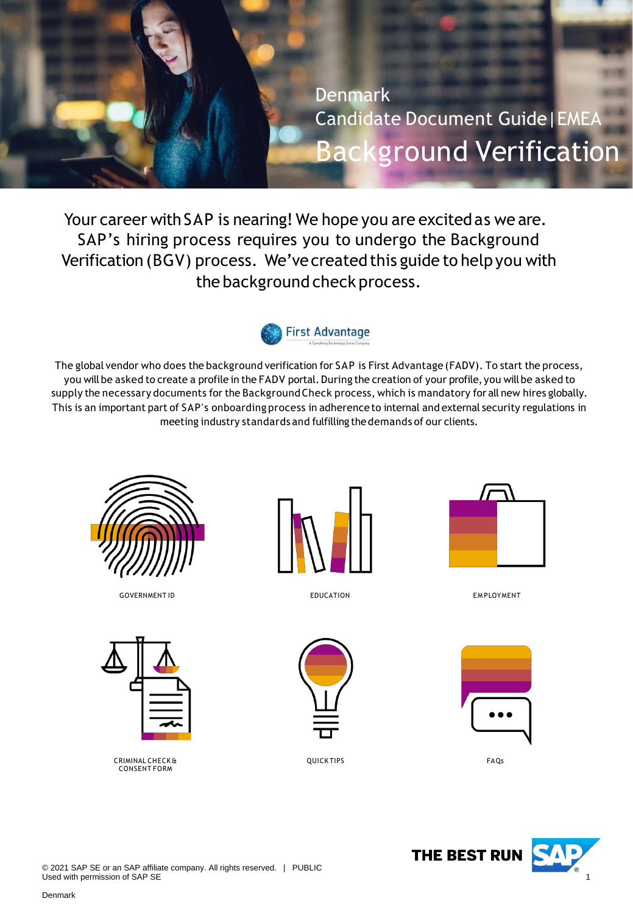<span id="page-0-0"></span>

Your career with SAP is nearing! We hope you are excited as we are. SAP's hiring process requires you to undergo the Background Verification (BGV) process. We've created this guide to help you with the background check process.



The global vendor who does the background verification for SAP is First Advantage (FADV). To start the process, you will be asked to create a profile in the FADV portal. During the creation of your profile, you will be asked to supply the necessary documents for the BackgroundCheck process, which is mandatory for all new hires globally. This is an important part of SAP's onboarding process in adherence to internal and external security regulations in meeting industry standards and fulfilling thedemands of our clients.



GOVERNMENT ID **EDUCATION** EDUCATION **EXAMPLOYMENT** 



CRIMINAL CHECK & CONSENT FORM



EDUCATION



QUICK TIPS FAQs







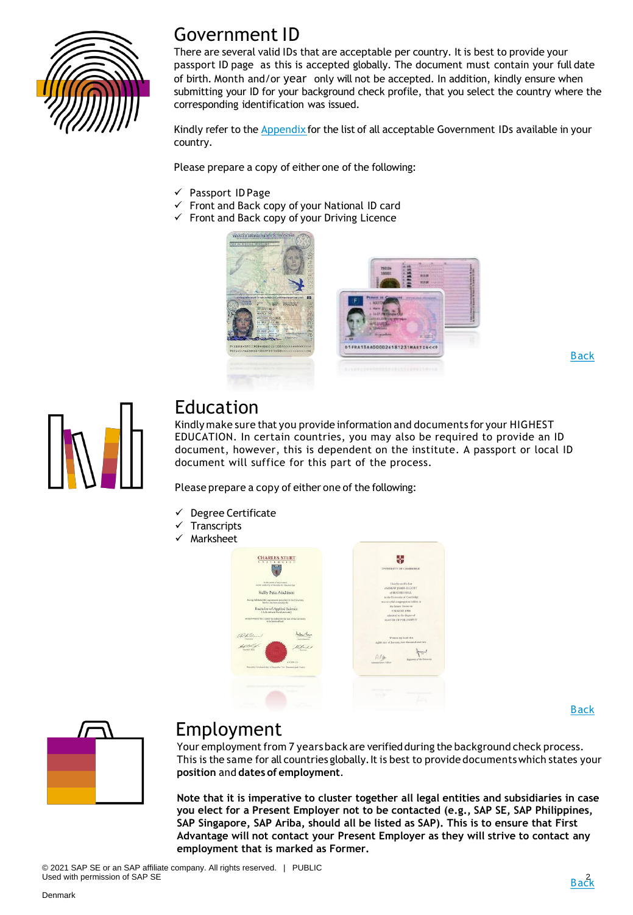

### Government ID

There are several valid IDs that are acceptable per country. It is best to provide your passport ID page as this is accepted globally. The document must contain your full date of birth. Month and/or year only will not be accepted. In addition, kindly ensure when submitting your ID for your background check profile, that you select the country where the corresponding identification was issued.

Kindly refer to the **[Appendix](#page-9-0)** for the list of all acceptable Government IDs available in your country.

Please prepare a copy of either one of the following:

- ✓ Passport ID Page
- Front and Back copy of your National ID card
- ✓ Front and Back copy of your Driving Licence



[Back](#page-0-0)



### Education

Kindly make sure that you provide information and documents for your HIGHEST EDUCATION. In certain countries, you may also be required to provide an ID document, however, this is dependent on the institute. A passport or local ID document will suffice for this part of the process.

Please prepare a copy of either one of the following:

- Degree Certificate
- **Transcripts**
- Marksheet



[Back](#page-0-0)



### Employment

Your employment from 7 years back are verified during the background check process. This is the same for all countries globally. It is best to provide documents which states your **position** and **dates of employment**.

**Note that it is imperative to cluster together all legal entities and subsidiaries in case you elect for a Present Employer not to be contacted (e.g., SAP SE, SAP Philippines, SAP Singapore, SAP Ariba, should all be listed as SAP). This is to ensure that First Advantage will not contact your Present Employer as they will strive to contact any employment that is marked as Former.**

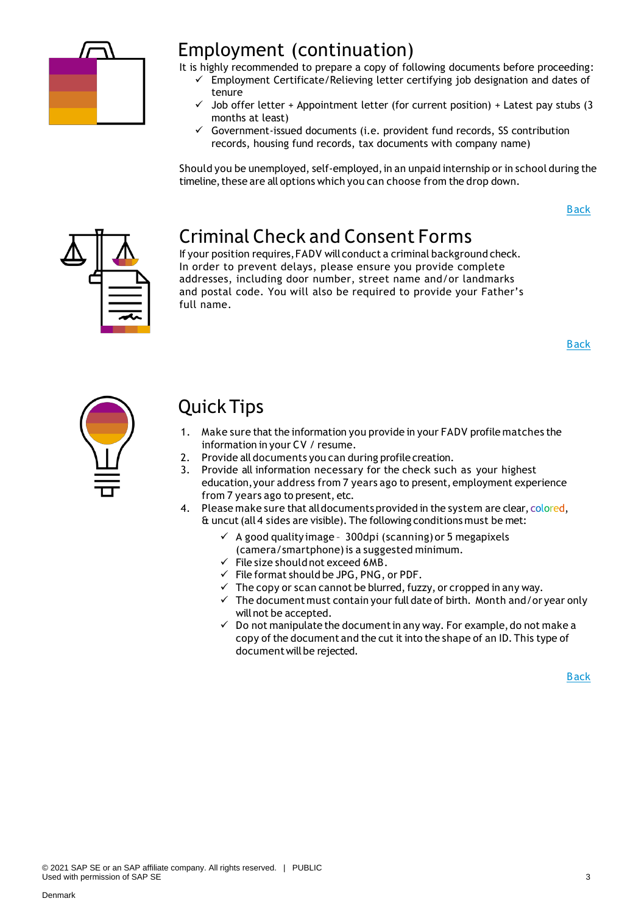

### Employment (continuation)

It is highly recommended to prepare a copy of following documents before proceeding:

- ✓ Employment Certificate/Relieving letter certifying job designation and dates of tenure
	- Job offer letter + Appointment letter (for current position) + Latest pay stubs (3 months at least)
	- $\checkmark$  Government-issued documents (i.e. provident fund records, SS contribution records, housing fund records, tax documents with company name)

Should you be unemployed, self-employed, in an unpaid internship or in school during the timeline, these are all options which you can choose from the drop down.

[Back](#page-0-0)



# Criminal Check and Consent Forms

If your position requires,FADV will conduct a criminal background check. In order to prevent delays, please ensure you provide complete addresses, including door number, street name and/or landmarks and postal code. You will also be required to provide your Father's full name.

[Back](#page-0-0)



# Quick Tips

- 1. Make sure that the information you provide in your FADV profile matches the information in your CV / resume.
- 2. Provide all documents you can during profile creation.
- 3. Provide all information necessary for the check such as your highest education,your address from 7 years ago to present, employment experience from 7 years ago to present, etc.
- 4. Please make sure that all documents provided in the system are clear, colored, & uncut(all 4 sides are visible). The following conditions must be met:
	- ✓ A good qualityimage 300dpi (scanning) or 5 megapixels (camera/smartphone)is a suggested minimum.
	- $\checkmark$  File size should not exceed 6MB.
	- $\checkmark$  File format should be JPG, PNG, or PDF.
	- $\checkmark$  The copy or scan cannot be blurred, fuzzy, or cropped in any way.
	- $\checkmark$  The document must contain your full date of birth. Month and/or year only willnot be accepted.
	- $\checkmark$  Do not manipulate the document in any way. For example, do not make a copy of the document and the cut it into the shape of an ID. This type of document will be rejected.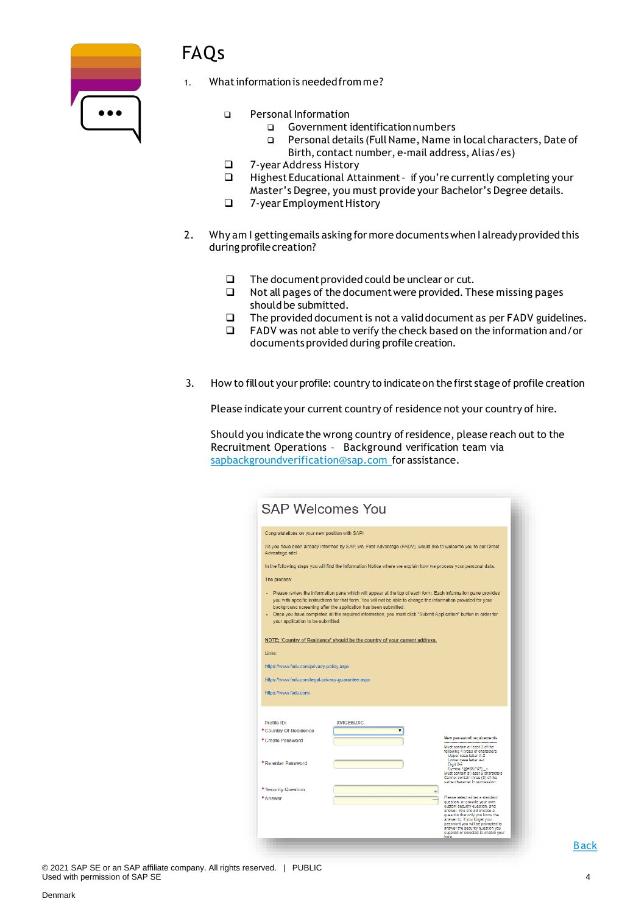

# FAQs

- What information is needed from me?
	- ❑ Personal Information
		- ❑ Government identificationnumbers
		- ❑ Personal details (FullName, Name in local characters, Date of Birth, contact number, e-mail address, Alias/es)
	- ❑ 7-year Address History
	- Highest Educational Attainment if you're currently completing your Master's Degree, you must provide your Bachelor's Degree details.
	- ❑ 7-year EmploymentHistory
- 2. Why am I getting emails asking for more documents when I already provided this during profile creation?
	- ❑ The documentprovided could be unclear or cut.
	- ❑ Not all pages of the documentwere provided.These missing pages should be submitted.
	- ❑ The provided documentis not a validdocument as per FADV guidelines.
	- ❑ FADV was not able to verify the check based on the information and/or documents provided during profile creation.
- 3. How to fillout your profile: country to indicateon the first stage of profile creation

Please indicate your current country of residence not your country of hire.

Should you indicate the wrong country ofresidence, please reach out to the Recruitment Operations – Background verification team via [sapbackgroundverification@sap.com](mailto:sapbackgroundverification@sap.com) for assistance.

| <b>SAP Welcomes You</b>                                                                                                                                                                                                                                                                                                                                                                                                                                |                                                                                                                 |                                                                                                                                                                                                                                                                                            |  |  |  |  |  |
|--------------------------------------------------------------------------------------------------------------------------------------------------------------------------------------------------------------------------------------------------------------------------------------------------------------------------------------------------------------------------------------------------------------------------------------------------------|-----------------------------------------------------------------------------------------------------------------|--------------------------------------------------------------------------------------------------------------------------------------------------------------------------------------------------------------------------------------------------------------------------------------------|--|--|--|--|--|
| Congratulations on your new position with SAP!                                                                                                                                                                                                                                                                                                                                                                                                         |                                                                                                                 |                                                                                                                                                                                                                                                                                            |  |  |  |  |  |
| Advantage site!                                                                                                                                                                                                                                                                                                                                                                                                                                        | As you have been already informed by SAP, we, First Advantage (FADV), would like to welcome you to our Direct   |                                                                                                                                                                                                                                                                                            |  |  |  |  |  |
|                                                                                                                                                                                                                                                                                                                                                                                                                                                        | In the following steps you will find the Information Notice where we explain how we process your personal data. |                                                                                                                                                                                                                                                                                            |  |  |  |  |  |
| The process:                                                                                                                                                                                                                                                                                                                                                                                                                                           |                                                                                                                 |                                                                                                                                                                                                                                                                                            |  |  |  |  |  |
| Please review the information pane which will appear at the top of each form. Each information pane provides<br>you with specific instructions for that form. You will not be able to change the information provided for your<br>background screening after the application has been submitted.<br>Once you have completed all the required information, you must click "Submit Application" button in order for<br>your application to be submitted. |                                                                                                                 |                                                                                                                                                                                                                                                                                            |  |  |  |  |  |
|                                                                                                                                                                                                                                                                                                                                                                                                                                                        | NOTE: 'Country of Residence' should be the country of your current address.                                     |                                                                                                                                                                                                                                                                                            |  |  |  |  |  |
| Links:                                                                                                                                                                                                                                                                                                                                                                                                                                                 |                                                                                                                 |                                                                                                                                                                                                                                                                                            |  |  |  |  |  |
| https://www.fadv.com/privacy-policy.aspx                                                                                                                                                                                                                                                                                                                                                                                                               |                                                                                                                 |                                                                                                                                                                                                                                                                                            |  |  |  |  |  |
| https://www.fadv.com/legal-privacy-guarantee.aspx                                                                                                                                                                                                                                                                                                                                                                                                      |                                                                                                                 |                                                                                                                                                                                                                                                                                            |  |  |  |  |  |
| https://www.fadv.com/                                                                                                                                                                                                                                                                                                                                                                                                                                  |                                                                                                                 |                                                                                                                                                                                                                                                                                            |  |  |  |  |  |
|                                                                                                                                                                                                                                                                                                                                                                                                                                                        |                                                                                                                 |                                                                                                                                                                                                                                                                                            |  |  |  |  |  |
| Profile ID:<br>*Country Of Residence                                                                                                                                                                                                                                                                                                                                                                                                                   | <b>XVIGF6LIXC</b>                                                                                               |                                                                                                                                                                                                                                                                                            |  |  |  |  |  |
| *Create Password                                                                                                                                                                                                                                                                                                                                                                                                                                       |                                                                                                                 | <b>New password requirements</b><br>Must contain at least 3 of the<br>following 4 types of characters:<br>Upper case letter A-Z                                                                                                                                                            |  |  |  |  |  |
| *Re-enter Password                                                                                                                                                                                                                                                                                                                                                                                                                                     |                                                                                                                 | Lower case letter a-z<br>Digit 0-9<br>Symbol !@#\$%^&*()_+<br>Must contain at least 8 characters<br>Cannot contain three (3) of the<br>same character in succession                                                                                                                        |  |  |  |  |  |
| * Security Question<br>*Answer                                                                                                                                                                                                                                                                                                                                                                                                                         |                                                                                                                 | Please select either a standard                                                                                                                                                                                                                                                            |  |  |  |  |  |
|                                                                                                                                                                                                                                                                                                                                                                                                                                                        |                                                                                                                 | question, or provide your own<br>custom security question, and<br>answer. You should choose a<br>question that only you know the<br>answer to. If you forget your<br>password you will be prompted to<br>answer the security question you<br>supplied or selected to enable your<br>login, |  |  |  |  |  |

© 2021 SAP SE or an SAP affiliate company. All rights reserved. | PUBLIC Used with permission of SAP SE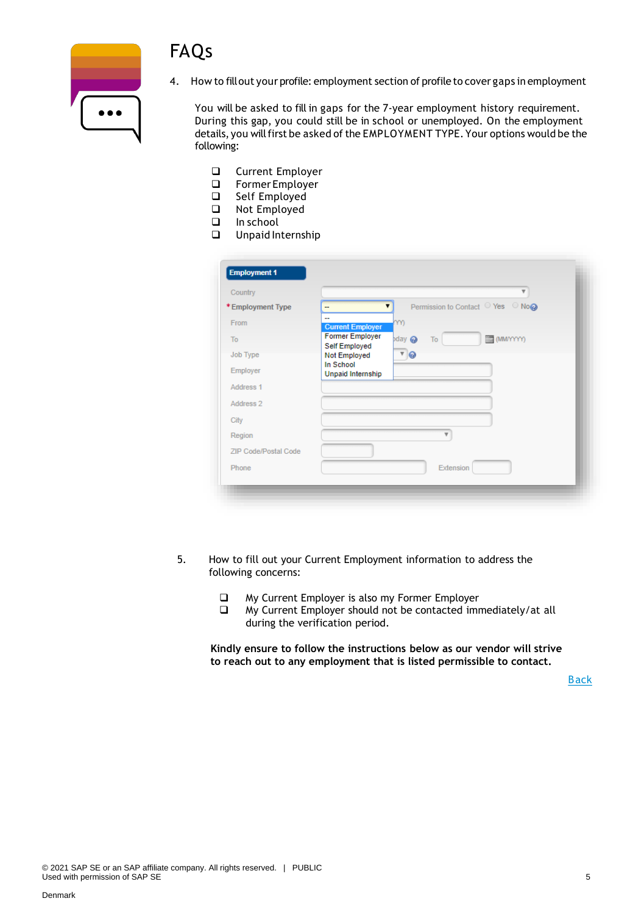



4. How to fillout your profile: employment section of profile to cover gaps in employment

You will be asked to fill in gaps for the 7-year employment history requirement. During this gap, you could still be in school or unemployed. On the employment details, you will first be asked of the EMPLOYMENT TYPE. Your options would be the following:

- ❑ Current Employer
- ❑ Former Employer
- ❑ Self Employed
- ❑ Not Employed
- ❑ In school
- ❑ Unpaid Internship

| Country                     |                                | $\overline{\mathbf{v}}$                |
|-----------------------------|--------------------------------|----------------------------------------|
| *Employment Type            | --                             | Permission to Contact ○ Yes ○ No@<br>▼ |
| From                        | --<br><b>Current Employer</b>  | YY)                                    |
| To                          | <b>Former Employer</b>         | (MMYYYYY)<br>$p$ day<br>To             |
| Job Type                    | Self Employed<br>Not Employed  | $\sqrt{9}$                             |
| Employer                    | In School<br>Unpaid Internship |                                        |
| Address 1                   |                                |                                        |
| Address 2                   |                                |                                        |
| City                        |                                |                                        |
| Region                      |                                | v                                      |
| <b>ZIP Code/Postal Code</b> |                                |                                        |
| Phone                       |                                | Extension                              |

- 5. How to fill out your Current Employment information to address the following concerns:
	- ❑ My Current Employer is also my Former Employer
	- ❑ My Current Employer should not be contacted immediately/at all during the verification period.

**Kindly ensure to follow the instructions below as our vendor will strive to reach out to any employment that is listed permissible to contact.**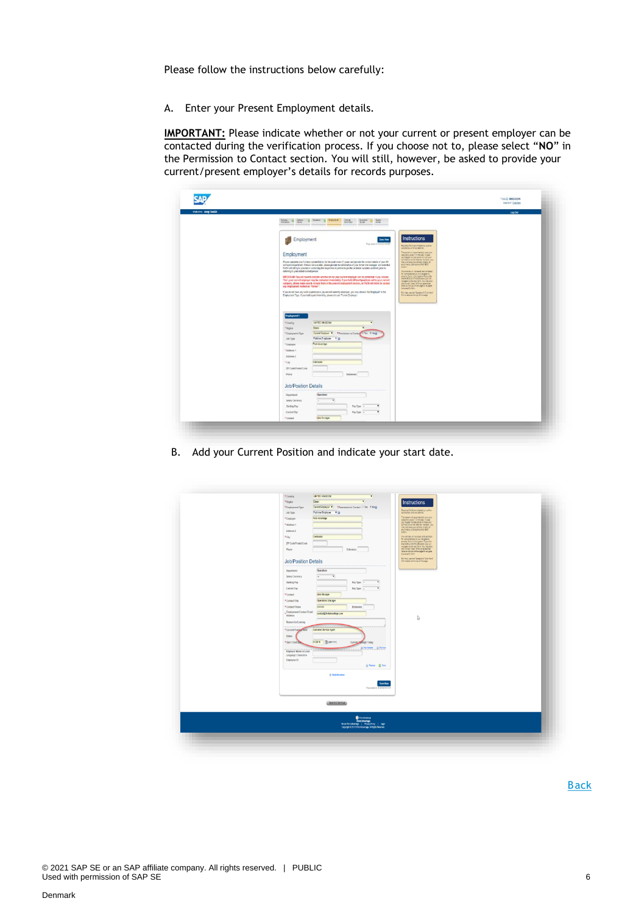Please follow the instructions below carefully:

A. Enter your Present Employment details.

**IMPORTANT:** Please indicate whether or not your current or present employer can be contacted during the verification process. If you choose not to, please select "**NO**" in the Permission to Contact section. You will still, however, be asked to provide your current/present employer's details for records purposes.

| Wektome: Andy TestDA |                                                                                                                                                                                                                                                                                                                                                                                                                                                                                                                                                                                                                                                                                                                                                                                                                                                                                                                                                                                                                                                                                                                                                                                                                                                                                                                                                                                                                           | Leg Out |
|----------------------|---------------------------------------------------------------------------------------------------------------------------------------------------------------------------------------------------------------------------------------------------------------------------------------------------------------------------------------------------------------------------------------------------------------------------------------------------------------------------------------------------------------------------------------------------------------------------------------------------------------------------------------------------------------------------------------------------------------------------------------------------------------------------------------------------------------------------------------------------------------------------------------------------------------------------------------------------------------------------------------------------------------------------------------------------------------------------------------------------------------------------------------------------------------------------------------------------------------------------------------------------------------------------------------------------------------------------------------------------------------------------------------------------------------------------|---------|
|                      | livene: O lates O linear O leagues<br><b>Crack</b><br><b>December</b><br><b>SAMP</b><br>Palle<br>stream.                                                                                                                                                                                                                                                                                                                                                                                                                                                                                                                                                                                                                                                                                                                                                                                                                                                                                                                                                                                                                                                                                                                                                                                                                                                                                                                  |         |
|                      | Instructions<br>Employment<br><b>Seve New</b><br>Figures at 122415 except<br>Reported for any research to a policy.<br>assess became we want to.<br>The general Leasenstady away por<br>Employment<br>you happen to the power or creator.<br>connection busine internat: however, you<br>Please complete your full employment history for the past seven (?) years and provide the contact definiti of your HR<br>mig a bit save your empire (interpre-<br>en treb nomine Softion<br>or Payrol department. If this is not available, glease provide the information of your former line manager, and note that<br>base.<br>FACY will still by to proceed in contacting the respective departments per the acadatie numbers and Ared prior to<br>deletting to your stated contact person:<br>tare train is set in series.<br>for consideration classified in<br>any favor response function<br>the problem in well began payed<br>INFORTABLE You will need to indicate whather or not your oursest amployer can be contacted. If you choose<br>"fee", your current employer may be contacted immediately. If you held different positions within your carrent<br>company, please make sure to include them in the present employment section, as FA2V will strive to contact<br>dot or any hour of the program bar.<br>East of the pay of the logist houghts<br>any employment marked as "farmer".<br>to a specific tarrs. |         |
|                      | If you do not have any volk experience or you are not currently versityed, you may choose first Employed in the<br>Retriebuse the Combine's content<br>Employment Type: If you held a paid internet ip, please choose "Former Employer".<br>in hard of this pine ago.<br>Engloyment 1                                                                                                                                                                                                                                                                                                                                                                                                                                                                                                                                                                                                                                                                                                                                                                                                                                                                                                                                                                                                                                                                                                                                     |         |
|                      | UNITED HAVECOM<br>"County<br><b>Exsec</b><br>* lispon<br>Current Entatives #   * Permission to Cardia   C Yes # Reg)<br>* Drainyment Type<br>Full me Employee 7 @<br>Jidi Type<br>First Advertising<br>* Employer                                                                                                                                                                                                                                                                                                                                                                                                                                                                                                                                                                                                                                                                                                                                                                                                                                                                                                                                                                                                                                                                                                                                                                                                         |         |
|                      | *Address 1<br>Address 2<br>Coktester<br>*Cty<br>ZP Code/Poital Code<br>Phota<br>Estatean                                                                                                                                                                                                                                                                                                                                                                                                                                                                                                                                                                                                                                                                                                                                                                                                                                                                                                                                                                                                                                                                                                                                                                                                                                                                                                                                  |         |
|                      | <b>Job/Position Details</b>                                                                                                                                                                                                                                                                                                                                                                                                                                                                                                                                                                                                                                                                                                                                                                                                                                                                                                                                                                                                                                                                                                                                                                                                                                                                                                                                                                                               |         |
|                      | Operations<br>Department<br>Salary Currency<br>Starting Pay<br>Pay Type :-<br>ï<br>Current Pay<br>Pay Type -<br>Line Manager<br>*Contact                                                                                                                                                                                                                                                                                                                                                                                                                                                                                                                                                                                                                                                                                                                                                                                                                                                                                                                                                                                                                                                                                                                                                                                                                                                                                  |         |

B. Add your Current Position and indicate your start date.

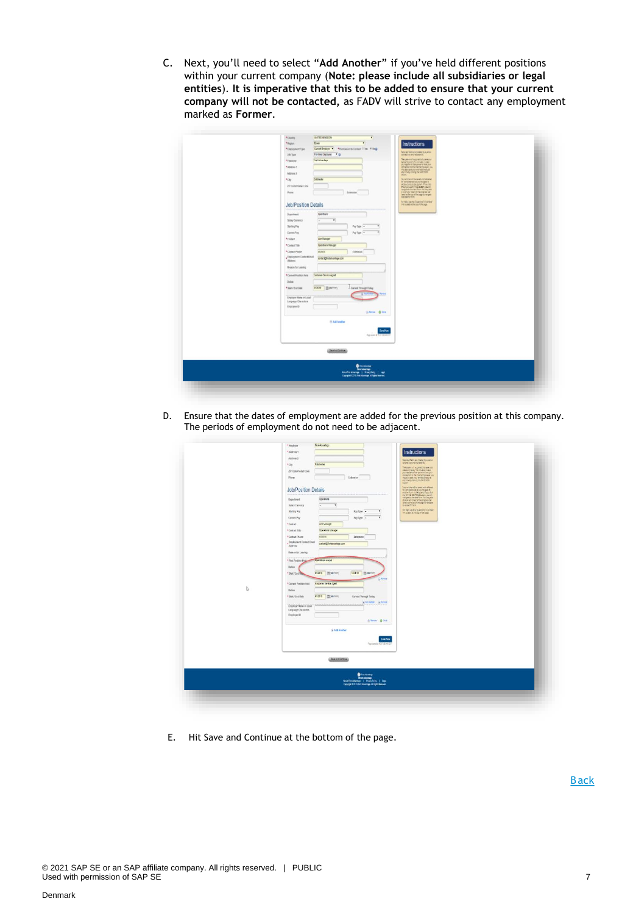C. Next, you'll need to select "**Add Another**" if you've held different positions within your current company (**Note: please include all subsidiaries or legal entities**). **It is imperative that this to be added to ensure that your current company will not be contacted,** as FADV will strive to contact any employment marked as **Former**.

| UNITED NNSCON<br>*Coastry<br>$\cdot$                                          |                                                                                                                  |
|-------------------------------------------------------------------------------|------------------------------------------------------------------------------------------------------------------|
| <b>Exer</b><br>*Region<br>×                                                   | Instructions                                                                                                     |
| Current Employer * * Fermination to Contact 17 Year * Rog<br>*Employment Type |                                                                                                                  |
| Ful-time Employee # @<br>Job Type                                             | flessied felds are noted by a jetter<br>interesting and red america.                                             |
| Fird Advantage<br>*Employer                                                   | The system of accompany paintings your<br>data employee 13 minutes, notes<br>you happen to integrate an operator |
| *Atdess 1.                                                                    | convetter to the memor housing you.                                                                              |
| Address 2                                                                     | my att sak jay ennu cred, at<br>any timely closing the Skift side<br>botter.                                     |
| Cotteder<br>*ciy                                                              | Your written will be seved an studented                                                                          |
| 2P Code/Fordal Code                                                           | for considerance at you couple to:<br>promotive the system. Fyes: OSI<br>charges to the health in this map and   |
| Phone<br>Extension                                                            |                                                                                                                  |
|                                                                               | contacts to superintendent<br>Massehrhm.                                                                         |
| <b>Job/Position Details</b>                                                   | for their year the "Duestoned Clus them"<br>This support in the top of the page                                  |
| Constitute<br>Department                                                      |                                                                                                                  |
| Salary Currency<br>٠                                                          |                                                                                                                  |
| $\cdot$<br>Starting Pay<br>$PeyType$ -                                        |                                                                                                                  |
| ٠<br>Cartest Pay<br>$PayTysu =$                                               |                                                                                                                  |
| *Contact<br>Line Manager                                                      |                                                                                                                  |
| *ContactTitle<br>Operations Manager                                           |                                                                                                                  |
| *Contact Phone<br>302033<br>Extension                                         |                                                                                                                  |
| . Employment Contact Email<br>contact@finitativantage.com                     |                                                                                                                  |
| Attess                                                                        |                                                                                                                  |
| Reason for Leaving                                                            |                                                                                                                  |
| *Current Position Held<br>Customer Dervice Agent                              |                                                                                                                  |
| Dates                                                                         |                                                                                                                  |
| 412019   图 MillYring<br>Current Through Today<br>* Slast / End Date           |                                                                                                                  |
|                                                                               |                                                                                                                  |
| Employer Name in Local<br>Language Characters                                 |                                                                                                                  |
| Employee ID                                                                   |                                                                                                                  |
| G Ferrot @ Dots                                                               |                                                                                                                  |
|                                                                               |                                                                                                                  |
| <b>&amp; Ass Arather</b>                                                      |                                                                                                                  |
| Saw Now                                                                       |                                                                                                                  |
| <b>Papi sami at 15.17.34 KB</b>                                               |                                                                                                                  |
|                                                                               |                                                                                                                  |
| (Jankstöring)                                                                 |                                                                                                                  |
|                                                                               |                                                                                                                  |
|                                                                               |                                                                                                                  |
|                                                                               |                                                                                                                  |
|                                                                               |                                                                                                                  |
|                                                                               |                                                                                                                  |

D. Ensure that the dates of employment are added for the previous position at this company. The periods of employment do not need to be adjacent.

| D | *Ctr<br>Coldhester<br><b>ZIP Codo Postal Code</b><br>Phone<br>Extension<br><b>Job/Position Details</b><br>Operations<br><b>Department</b><br>Salary Camerey<br>$\overline{\phantom{a}}$<br>٠<br>$\bullet$<br>Starting Pay<br>Pay Type -<br>$\overline{\phantom{a}}$<br>Current Pay<br>Pay Type -<br>*Contact<br>Line Manager<br>*ContactTitle<br>Operators throught<br>*Contact Phone<br>xxxxxx<br>Extension<br>Employment Contact Email<br>cartoci@festaciantage.com<br>Address<br>Researcher Leaving<br>Contations analyst<br>* First Position Reid<br>Duties<br>120018 El (Mannin)<br>et2016 图(Minh)<br>* Start / End Billia<br><b>Q</b> Ferror<br>*Current Position Held<br>Customer Senite Agent<br>Duties<br>462019 图 Minhmit<br>* Start / End Date<br>Current Through Today<br>@ Act Audies @ Remot<br>Employer Name in Local<br>Language Characters<br>Employee ID<br>Sheet Book<br><b>GASS Acother</b><br><b>Save Now</b><br>Papcaedal CO'25A157<br>Sea kratema | Passived festives roses by a person<br>internal too and assembly<br>$\begin{array}{l} \textbf{The pattern of quantity rate of} \\ \textbf{corresponding to the system rate} \\ \textbf{p} = \textbf{p} + \textbf{p} + \textbf{p} + \textbf{p} + \textbf{p} \\ \textbf{p} = \textbf{p} + \textbf{p} + \textbf{p} + \textbf{p} + \textbf{p} \\ \textbf{p} = \textbf{p} + \textbf{p} + \textbf{p} + \textbf{p} + \textbf{p} + \textbf{p} \\ \textbf{p} = \textbf{p} + \textbf{p} + \textbf{p} + \textbf{p} + \textbf{p} + \textbf{p} \\ \textbf{p}$<br>The archived busined and detailed<br>by an operator postellight to the first form and providing to<br>the first form of the postellight of the postellight<br>transport of the providing state of the postellight<br>form in the country<br>Service and to Custom Content |  |
|---|--------------------------------------------------------------------------------------------------------------------------------------------------------------------------------------------------------------------------------------------------------------------------------------------------------------------------------------------------------------------------------------------------------------------------------------------------------------------------------------------------------------------------------------------------------------------------------------------------------------------------------------------------------------------------------------------------------------------------------------------------------------------------------------------------------------------------------------------------------------------------------------------------------------------------------------------------------------------------|-------------------------------------------------------------------------------------------------------------------------------------------------------------------------------------------------------------------------------------------------------------------------------------------------------------------------------------------------------------------------------------------------------------------------------------------------------------------------------------------------------------------------------------------------------------------------------------------------------------------------------------------------------------------------------------------------------------------------------------------------------------------------------------------------------------------------------|--|
|   | <b>O</b> hot knowing<br>Absolvent-benefige   Princy Policy   Legal<br>Copyright 0.2019 Franknungen All Egits Reserved                                                                                                                                                                                                                                                                                                                                                                                                                                                                                                                                                                                                                                                                                                                                                                                                                                                    |                                                                                                                                                                                                                                                                                                                                                                                                                                                                                                                                                                                                                                                                                                                                                                                                                               |  |

E. Hit Save and Continue at the bottom of the page.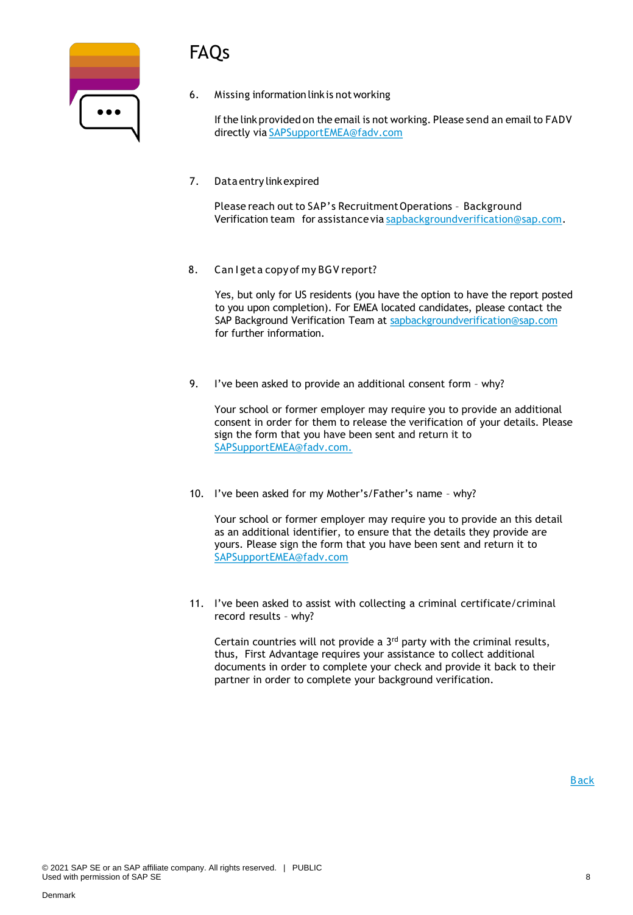# FAQs

| $\bullet\bullet\bullet$ |  |
|-------------------------|--|
|                         |  |

6. Missing information linkis not working

If the link provided on the email is not working. Please send an email to FADV directly via [SAPSupportEMEA@fadv.com](mailto:SAPSupportEMEA@fadv.com)

7. Data entry linkexpired

Please reach out to SAP's Recruitment Operations - Background Verification team for assistance via [sapbackgroundverification@sap.com.](mailto:sapbackgroundverification@sap.com)

8. Can I get a copy of my BGV report?

Yes, but only for US residents (you have the option to have the report posted to you upon completion). For EMEA located candidates, please contact the SAP Background Verification Team at [sapbackgroundverification@sap.com](mailto:sapbackgroundverification@sap.com) for further information.

9. I've been asked to provide an additional consent form – why?

Your school or former employer may require you to provide an additional consent in order for them to release the verification of your details. Please sign the form that you have been sent and return it to SAPSupportEMEA@fadv.com.

10. I've been asked for my Mother's/Father's name – why?

Your school or former employer may require you to provide an this detail as an additional identifier, to ensure that the details they provide are yours. Please sign the form that you have been sent and return it to [SAPSupportEMEA@fadv.com](mailto:SAPSupportEMEA@fadv.com)

11. I've been asked to assist with collecting a criminal certificate/criminal record results – why?

Certain countries will not provide a 3rd party with the criminal results, thus, First Advantage requires your assistance to collect additional documents in order to complete your check and provide it back to their partner in order to complete your background verification.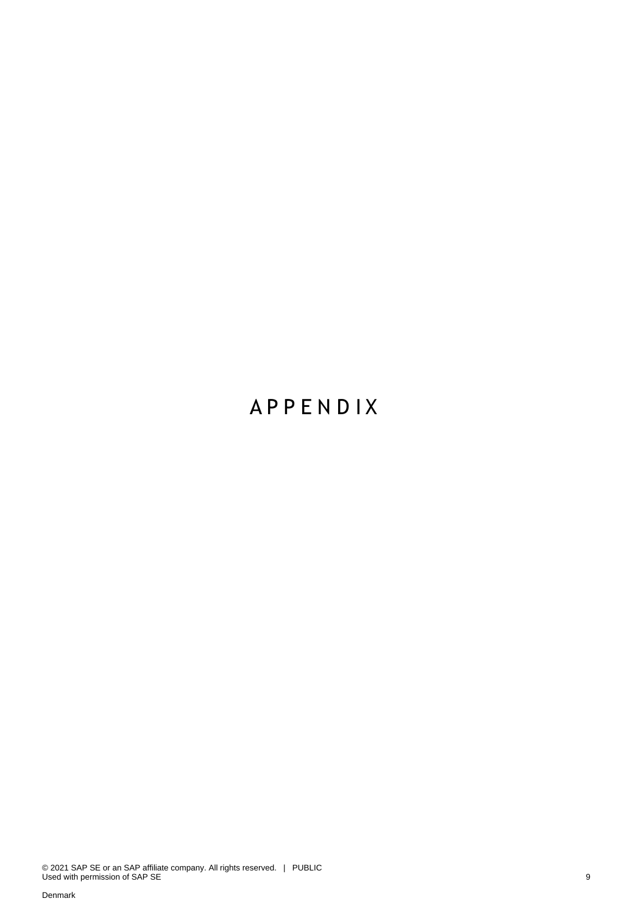# **A P P E N D I X**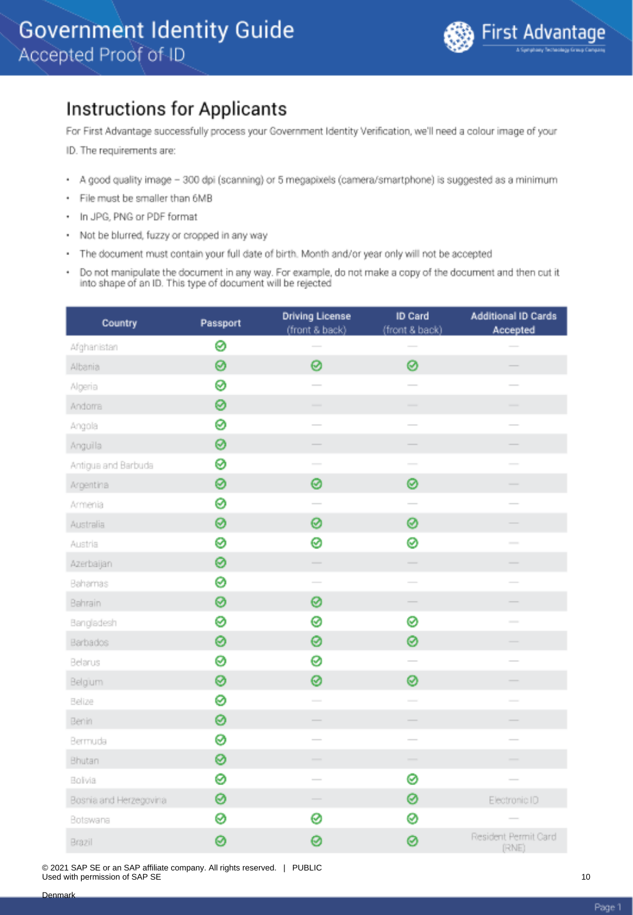### <span id="page-9-0"></span>**Instructions for Applicants**

For First Advantage successfully process your Government Identity Verification, we'll need a colour image of your

ID. The requirements are:

- A good quality image 300 dpi (scanning) or 5 megapixels (camera/smartphone) is suggested as a minimum
- · File must be smaller than 6MB
- In JPG, PNG or PDF format
- Not be blurred, fuzzy or cropped in any way
- The document must contain your full date of birth. Month and/or year only will not be accepted
- Do not manipulate the document in any way. For example, do not make a copy of the document and then cut it into shape of an ID. This type of document will be rejected

| Country                | Passport | <b>Driving License</b><br>(front & back) | ID Card<br>(front & back) | <b>Additional ID Cards</b><br>Accepted |
|------------------------|----------|------------------------------------------|---------------------------|----------------------------------------|
| Afghanistan            | 0        |                                          |                           |                                        |
| Albania                | 0        | 0                                        | 0                         |                                        |
| Algeria                | ⊗        |                                          |                           |                                        |
| Andoma                 | 0        | ÷.                                       |                           |                                        |
| Angola                 | 0        | $\overline{\phantom{a}}$                 | $\overline{\phantom{0}}$  |                                        |
| Anguilla               | ⊗        |                                          | $\overline{\phantom{0}}$  |                                        |
| Antigua and Barbuda    | ⊗        | $\sim$                                   | $\sim$                    |                                        |
| Argentina              | 0        | 0                                        | 0                         | -                                      |
| Armenia                | ⊗        |                                          |                           |                                        |
| Australia              | 0        | 0                                        | 0                         |                                        |
| Austria                | ⊗        | 0                                        | 0                         | $\overline{\phantom{a}}$               |
| Azerbaijan             | 0        |                                          | $\frac{1}{2}$             |                                        |
| Bahamas                | ⊗        | $\overline{\phantom{a}}$                 | $\overline{\phantom{a}}$  |                                        |
| Bahrain                | 0        | 0                                        |                           |                                        |
| Bangladesh             | ⊗        | 0                                        | ⊗                         | $\overline{\phantom{a}}$               |
| Barbados               | 0        | 0                                        | 0                         |                                        |
| Belarus                | ⊗        | 0                                        | $\overline{\phantom{0}}$  |                                        |
| Belgium                | ⊗        | 0                                        | 0                         |                                        |
| Belize                 | ⊗        | $\overline{\phantom{a}}$                 | $\overline{\phantom{a}}$  |                                        |
| Benin                  | 0        |                                          |                           |                                        |
| Bermuda                | 0        | $\overline{\phantom{a}}$                 | $\sim$                    |                                        |
| Bhutan                 | ⊗        | $\hspace{1.0cm} \rule{1.5cm}{0.15cm}$    | $\overline{\phantom{a}}$  |                                        |
| Bolivia                | ⊗        |                                          | 0                         |                                        |
| Bosnia and Herzegovina | 0        |                                          | ⊗                         | Electronic ID                          |
| Botswana               | ⊗        | 0                                        | ⊗                         |                                        |
| Brazil                 | 0        | ø                                        | 0                         | Resident Permit Card<br>(RNE)          |

© 2021 SAP SE or an SAP affiliate company. All rights reserved. | PUBLIC Used with permission of SAP SE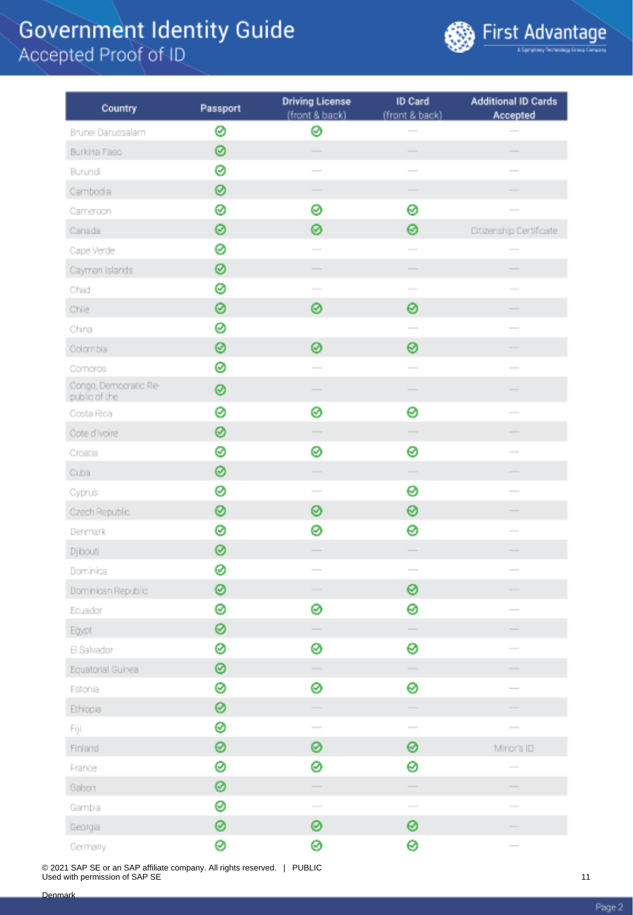

| Country                                | Passport | <b>Driving License</b><br>(front & back)                                                                                                                                                                                                                                                                                                                                                                                                                                   | ID Card<br>(front & back)         | <b>Additional ID Cards</b><br>Accepted |
|----------------------------------------|----------|----------------------------------------------------------------------------------------------------------------------------------------------------------------------------------------------------------------------------------------------------------------------------------------------------------------------------------------------------------------------------------------------------------------------------------------------------------------------------|-----------------------------------|----------------------------------------|
| Brunei Darussalam                      | 0        | ⊗                                                                                                                                                                                                                                                                                                                                                                                                                                                                          |                                   |                                        |
| Burkina Faso                           | ⊗        | $\overline{\phantom{a}}$                                                                                                                                                                                                                                                                                                                                                                                                                                                   | $\overline{\phantom{a}}$          | $\overline{\phantom{a}}$               |
| Burundi                                | ø        |                                                                                                                                                                                                                                                                                                                                                                                                                                                                            |                                   |                                        |
| Cambodia                               | 0        |                                                                                                                                                                                                                                                                                                                                                                                                                                                                            | -                                 |                                        |
| Cameroon                               | 0        | ⊗                                                                                                                                                                                                                                                                                                                                                                                                                                                                          | 0                                 | $\frac{1}{2}$                          |
| Canada                                 | 0        | 0                                                                                                                                                                                                                                                                                                                                                                                                                                                                          | 0                                 | Citizenship Certificate                |
| Cape Verde                             | 0        |                                                                                                                                                                                                                                                                                                                                                                                                                                                                            |                                   |                                        |
| Cayman Islands                         | 0        |                                                                                                                                                                                                                                                                                                                                                                                                                                                                            |                                   |                                        |
| Chad                                   | 0        | $\frac{1}{2} \left( \frac{1}{2} \right) \left( \frac{1}{2} \right) \left( \frac{1}{2} \right) \left( \frac{1}{2} \right) \left( \frac{1}{2} \right) \left( \frac{1}{2} \right) \left( \frac{1}{2} \right) \left( \frac{1}{2} \right) \left( \frac{1}{2} \right) \left( \frac{1}{2} \right) \left( \frac{1}{2} \right) \left( \frac{1}{2} \right) \left( \frac{1}{2} \right) \left( \frac{1}{2} \right) \left( \frac{1}{2} \right) \left( \frac{1}{2} \right) \left( \frac$ | $\sim$                            |                                        |
| Chile                                  | 0        | 0                                                                                                                                                                                                                                                                                                                                                                                                                                                                          | 0                                 |                                        |
| China                                  | 0        |                                                                                                                                                                                                                                                                                                                                                                                                                                                                            |                                   | $\overline{\phantom{a}}$               |
| Colombia                               | 0        | 0                                                                                                                                                                                                                                                                                                                                                                                                                                                                          | ⊗                                 |                                        |
| Comoros                                | 0        |                                                                                                                                                                                                                                                                                                                                                                                                                                                                            | $\sim$                            |                                        |
| Congo, Democratic Re-<br>public of the | 0        |                                                                                                                                                                                                                                                                                                                                                                                                                                                                            |                                   |                                        |
| Costa Rica                             | ø        | 0                                                                                                                                                                                                                                                                                                                                                                                                                                                                          | 0                                 |                                        |
| Cote d'Ivoire                          | 0        |                                                                                                                                                                                                                                                                                                                                                                                                                                                                            |                                   |                                        |
| Croatia                                | 0        | ⊗                                                                                                                                                                                                                                                                                                                                                                                                                                                                          | 0                                 | $\sim$                                 |
| Cuba                                   | 0        | -                                                                                                                                                                                                                                                                                                                                                                                                                                                                          |                                   |                                        |
| Cyprus                                 | 0        | $\sim$                                                                                                                                                                                                                                                                                                                                                                                                                                                                     | 0                                 | $\sim$                                 |
| Czech Republic                         | ⊗        | ⊗                                                                                                                                                                                                                                                                                                                                                                                                                                                                          | ⊗                                 |                                        |
| Denmark                                | ⊗        | ⊗                                                                                                                                                                                                                                                                                                                                                                                                                                                                          | 0                                 | $\frac{1}{2}$                          |
| Djibouti                               | 0        |                                                                                                                                                                                                                                                                                                                                                                                                                                                                            |                                   |                                        |
| Dominica                               | 0        |                                                                                                                                                                                                                                                                                                                                                                                                                                                                            | $\frac{1}{2}$                     | $\frac{1}{2}$                          |
| Dominican Republic                     | ⊗        |                                                                                                                                                                                                                                                                                                                                                                                                                                                                            | ⊗                                 | $\overline{\phantom{a}}$               |
| Ecuador                                | ø        | ⊗                                                                                                                                                                                                                                                                                                                                                                                                                                                                          | 0                                 |                                        |
| Egypt                                  | ⊗        |                                                                                                                                                                                                                                                                                                                                                                                                                                                                            |                                   |                                        |
| El Salvador                            | ⊗        | ⊗                                                                                                                                                                                                                                                                                                                                                                                                                                                                          | ๏                                 |                                        |
| Equatorial Guinea                      | ⊗        | $\overline{\phantom{a}}$                                                                                                                                                                                                                                                                                                                                                                                                                                                   | $\frac{1}{2}$                     | $\frac{1}{2}$                          |
| Estonia                                | ⊗        | ⊗                                                                                                                                                                                                                                                                                                                                                                                                                                                                          | 0                                 | $\sim$                                 |
| Ethiopia                               | 0        |                                                                                                                                                                                                                                                                                                                                                                                                                                                                            | $\hspace{1.5cm} \overbrace{ }^{}$ |                                        |
| Fiji                                   | ⊗        | $\overline{\phantom{a}}$                                                                                                                                                                                                                                                                                                                                                                                                                                                   | $\overline{\phantom{a}}$          |                                        |
| Finland                                | 0        | ⊗                                                                                                                                                                                                                                                                                                                                                                                                                                                                          | 0                                 | Minor's ID                             |
| France                                 | 0        | ⊗                                                                                                                                                                                                                                                                                                                                                                                                                                                                          | 0                                 | $\overline{\phantom{a}}$               |
| Gabon                                  | 0        | $\overline{\phantom{a}}$                                                                                                                                                                                                                                                                                                                                                                                                                                                   | $\frac{1}{2}$                     |                                        |
| Gambia                                 | 0        | $\frac{1}{2} \left( \frac{1}{2} \right)^2 + \frac{1}{2} \left( \frac{1}{2} \right)^2 + \frac{1}{2} \left( \frac{1}{2} \right)^2 + \frac{1}{2} \left( \frac{1}{2} \right)^2 + \frac{1}{2} \left( \frac{1}{2} \right)^2 + \frac{1}{2} \left( \frac{1}{2} \right)^2 + \frac{1}{2} \left( \frac{1}{2} \right)^2 + \frac{1}{2} \left( \frac{1}{2} \right)^2 + \frac{1}{2} \left( \frac{1}{2} \right)^2 + \frac{1}{2} \left( \frac{1}{2} \right)^2 +$                            | $\sim$                            | $\frac{1}{2}$                          |
| Georgia                                | 0        | ⊗                                                                                                                                                                                                                                                                                                                                                                                                                                                                          | 0                                 |                                        |
| Germany                                | Ø        | Ø                                                                                                                                                                                                                                                                                                                                                                                                                                                                          | Ø                                 |                                        |

© 2021 SAP SE or an SAP affiliate company. All rights reserved. | PUBLIC Used with permission of SAP SE

Page 2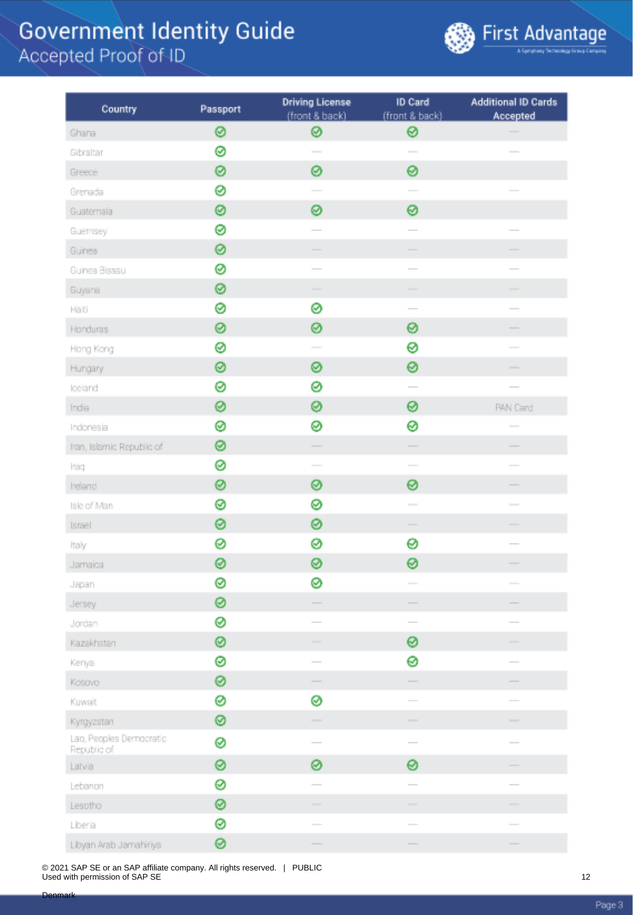

| Country                                | Passport | <b>Driving License</b><br>(front & back) | ID Card<br>(front & back)                                                                                                                                                                                                                                                                                                                                                                                                                                                  | <b>Additional ID Cards</b><br>Accepted |
|----------------------------------------|----------|------------------------------------------|----------------------------------------------------------------------------------------------------------------------------------------------------------------------------------------------------------------------------------------------------------------------------------------------------------------------------------------------------------------------------------------------------------------------------------------------------------------------------|----------------------------------------|
| Ghana                                  | 0        | ⊗                                        | ⊗                                                                                                                                                                                                                                                                                                                                                                                                                                                                          |                                        |
| Gibraltar                              | 0        | $\sim$                                   | $\overline{\phantom{a}}$                                                                                                                                                                                                                                                                                                                                                                                                                                                   |                                        |
| Greece                                 | 0        | 0                                        | 0                                                                                                                                                                                                                                                                                                                                                                                                                                                                          |                                        |
| Grenada                                | 0        |                                          | $\overline{\phantom{a}}$                                                                                                                                                                                                                                                                                                                                                                                                                                                   |                                        |
| Guatemala                              | ◎        | ⊗                                        | 0                                                                                                                                                                                                                                                                                                                                                                                                                                                                          |                                        |
| Guernsey                               | ø        |                                          | $\overline{\phantom{a}}$                                                                                                                                                                                                                                                                                                                                                                                                                                                   |                                        |
| Guinea                                 | ⊗        |                                          | $\overline{\phantom{0}}$                                                                                                                                                                                                                                                                                                                                                                                                                                                   |                                        |
| Guinea Bissau                          | 0        |                                          |                                                                                                                                                                                                                                                                                                                                                                                                                                                                            |                                        |
| Guyana                                 | ⊗        | $\overline{\phantom{a}}$                 | $\frac{1}{2} \left( \frac{1}{2} \right) \left( \frac{1}{2} \right) \left( \frac{1}{2} \right) \left( \frac{1}{2} \right) \left( \frac{1}{2} \right) \left( \frac{1}{2} \right) \left( \frac{1}{2} \right) \left( \frac{1}{2} \right) \left( \frac{1}{2} \right) \left( \frac{1}{2} \right) \left( \frac{1}{2} \right) \left( \frac{1}{2} \right) \left( \frac{1}{2} \right) \left( \frac{1}{2} \right) \left( \frac{1}{2} \right) \left( \frac{1}{2} \right) \left( \frac$ | -                                      |
| Haiti                                  | ⊗        | ⊗                                        | $\overline{\phantom{a}}$                                                                                                                                                                                                                                                                                                                                                                                                                                                   | $\overline{\phantom{a}}$               |
| Honduras                               | 0        | ⊗                                        | 0                                                                                                                                                                                                                                                                                                                                                                                                                                                                          | -                                      |
| Hong Kong                              | 0        |                                          | ⊗                                                                                                                                                                                                                                                                                                                                                                                                                                                                          |                                        |
| Hungary                                | 0        | ⊗                                        | 0                                                                                                                                                                                                                                                                                                                                                                                                                                                                          |                                        |
| loeland                                | 0        | ⊗                                        |                                                                                                                                                                                                                                                                                                                                                                                                                                                                            | $\frac{1}{2}$                          |
| India                                  | 0        | ⊗                                        | 0                                                                                                                                                                                                                                                                                                                                                                                                                                                                          | <b>PAN Card</b>                        |
| Indonesia                              | 0        | ⊗                                        | 0                                                                                                                                                                                                                                                                                                                                                                                                                                                                          | $\overline{\phantom{a}}$               |
| Iran, Islamic Republic of              | ◎        | Ξ                                        |                                                                                                                                                                                                                                                                                                                                                                                                                                                                            |                                        |
| Iraq                                   | ⊗        | $\sim$                                   | $\overline{\phantom{0}}$                                                                                                                                                                                                                                                                                                                                                                                                                                                   |                                        |
| Ireland                                | 0        | ⊗                                        | 0                                                                                                                                                                                                                                                                                                                                                                                                                                                                          | -                                      |
| Isle of Man                            | ⊗        | 0                                        |                                                                                                                                                                                                                                                                                                                                                                                                                                                                            |                                        |
| Israel                                 | ⊗        | ⊗                                        |                                                                                                                                                                                                                                                                                                                                                                                                                                                                            | -                                      |
| Italy                                  | 0        | ⊗                                        | 0                                                                                                                                                                                                                                                                                                                                                                                                                                                                          |                                        |
| Jamaica                                | 0        | ⊗                                        | 0                                                                                                                                                                                                                                                                                                                                                                                                                                                                          |                                        |
| Japan                                  | ⊗        | ⊗                                        |                                                                                                                                                                                                                                                                                                                                                                                                                                                                            |                                        |
| Jersey                                 | ◎        |                                          |                                                                                                                                                                                                                                                                                                                                                                                                                                                                            |                                        |
| Jordan                                 | 0        |                                          |                                                                                                                                                                                                                                                                                                                                                                                                                                                                            |                                        |
| Kazakhstan                             | ◎        | $\overline{\phantom{a}}$                 | ◎                                                                                                                                                                                                                                                                                                                                                                                                                                                                          | $\overline{\phantom{a}}$               |
| Kenya                                  | 0        | $\sim$                                   | 0                                                                                                                                                                                                                                                                                                                                                                                                                                                                          | $\overline{\phantom{a}}$               |
| Kosovo                                 | ⊗        |                                          |                                                                                                                                                                                                                                                                                                                                                                                                                                                                            |                                        |
| Kuwait                                 | ⊗        | ⊗                                        |                                                                                                                                                                                                                                                                                                                                                                                                                                                                            |                                        |
| Kyrgyzstan                             | ⊗        |                                          | $\overline{\phantom{a}}$                                                                                                                                                                                                                                                                                                                                                                                                                                                   | -                                      |
| Lao, Peoples Democratic<br>Republic of | 0        |                                          | $\qquad \qquad$                                                                                                                                                                                                                                                                                                                                                                                                                                                            |                                        |
| Latvia                                 | 0        | 0                                        | 0                                                                                                                                                                                                                                                                                                                                                                                                                                                                          |                                        |
| Lebanon                                | 0        |                                          |                                                                                                                                                                                                                                                                                                                                                                                                                                                                            |                                        |
| Lesotho                                | ◎        |                                          | -                                                                                                                                                                                                                                                                                                                                                                                                                                                                          |                                        |
| Liberia                                | ⊗        | $\sim$                                   | $\sim$                                                                                                                                                                                                                                                                                                                                                                                                                                                                     |                                        |
| Libyan Arab Jamahiriya                 | ◎        | $\frac{1}{2}$                            | $\qquad \qquad$                                                                                                                                                                                                                                                                                                                                                                                                                                                            | $\hspace{1.0cm} \overbrace{ }^{}$      |

© 2021 SAP SE or an SAP affiliate company. All rights reserved. | PUBLIC Used with permission of SAP SE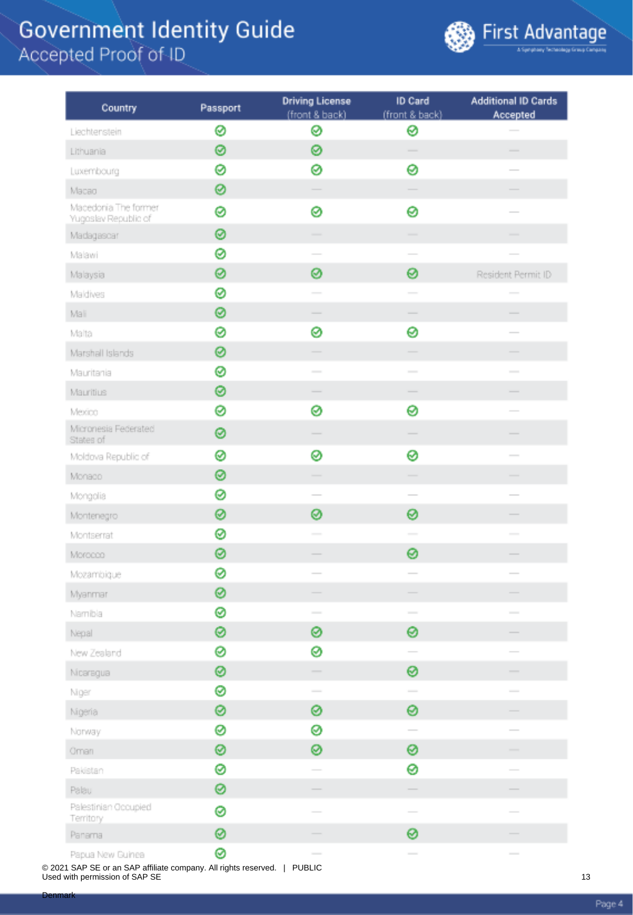

| Country                                      | Passport | <b>Driving License</b><br>(front & back)                                                                                                                                                                                                                                                                                                                                                                                                                                   | ID Card<br>(front & back)                                                                      | <b>Additional ID Cards</b><br>Accepted                                                                                                                                                                                                                                                                                                                                                                                                                                     |
|----------------------------------------------|----------|----------------------------------------------------------------------------------------------------------------------------------------------------------------------------------------------------------------------------------------------------------------------------------------------------------------------------------------------------------------------------------------------------------------------------------------------------------------------------|------------------------------------------------------------------------------------------------|----------------------------------------------------------------------------------------------------------------------------------------------------------------------------------------------------------------------------------------------------------------------------------------------------------------------------------------------------------------------------------------------------------------------------------------------------------------------------|
| Liechtenstein                                | 0        | ⊗                                                                                                                                                                                                                                                                                                                                                                                                                                                                          | ⊗                                                                                              |                                                                                                                                                                                                                                                                                                                                                                                                                                                                            |
| Lithuania                                    | 0        | ⊗                                                                                                                                                                                                                                                                                                                                                                                                                                                                          | $\sim$                                                                                         | $\frac{1}{2} \left( \frac{1}{2} \right) \left( \frac{1}{2} \right) \left( \frac{1}{2} \right) \left( \frac{1}{2} \right) \left( \frac{1}{2} \right) \left( \frac{1}{2} \right) \left( \frac{1}{2} \right) \left( \frac{1}{2} \right) \left( \frac{1}{2} \right) \left( \frac{1}{2} \right) \left( \frac{1}{2} \right) \left( \frac{1}{2} \right) \left( \frac{1}{2} \right) \left( \frac{1}{2} \right) \left( \frac{1}{2} \right) \left( \frac{1}{2} \right) \left( \frac$ |
| Luxembourg                                   | ø        | ⊗                                                                                                                                                                                                                                                                                                                                                                                                                                                                          | 0                                                                                              |                                                                                                                                                                                                                                                                                                                                                                                                                                                                            |
| Macao                                        | 0        |                                                                                                                                                                                                                                                                                                                                                                                                                                                                            |                                                                                                |                                                                                                                                                                                                                                                                                                                                                                                                                                                                            |
| Macedonia The former<br>Yugoslav Republic of | 0        | 0                                                                                                                                                                                                                                                                                                                                                                                                                                                                          | 0                                                                                              |                                                                                                                                                                                                                                                                                                                                                                                                                                                                            |
| Madagascar                                   | ⊗        |                                                                                                                                                                                                                                                                                                                                                                                                                                                                            |                                                                                                |                                                                                                                                                                                                                                                                                                                                                                                                                                                                            |
| Malawi                                       | ø        |                                                                                                                                                                                                                                                                                                                                                                                                                                                                            |                                                                                                |                                                                                                                                                                                                                                                                                                                                                                                                                                                                            |
| Malaysia                                     | 0        | ⊗                                                                                                                                                                                                                                                                                                                                                                                                                                                                          | 0                                                                                              | Resident Permit ID                                                                                                                                                                                                                                                                                                                                                                                                                                                         |
| Maldives                                     | ⊗        |                                                                                                                                                                                                                                                                                                                                                                                                                                                                            | $\sim$                                                                                         |                                                                                                                                                                                                                                                                                                                                                                                                                                                                            |
| Mali                                         | ⊗        | $\frac{1}{2} \left( \frac{1}{2} \right) \left( \frac{1}{2} \right) \left( \frac{1}{2} \right) \left( \frac{1}{2} \right) \left( \frac{1}{2} \right) \left( \frac{1}{2} \right) \left( \frac{1}{2} \right) \left( \frac{1}{2} \right) \left( \frac{1}{2} \right) \left( \frac{1}{2} \right) \left( \frac{1}{2} \right) \left( \frac{1}{2} \right) \left( \frac{1}{2} \right) \left( \frac{1}{2} \right) \left( \frac{1}{2} \right) \left( \frac{1}{2} \right) \left( \frac$ | $\overline{\phantom{a}}$                                                                       | $\overline{\phantom{a}}$                                                                                                                                                                                                                                                                                                                                                                                                                                                   |
| Malta                                        | 0        | ⊗                                                                                                                                                                                                                                                                                                                                                                                                                                                                          | 0                                                                                              | $\frac{1}{2} \left( \frac{1}{2} \right) \left( \frac{1}{2} \right) \left( \frac{1}{2} \right) \left( \frac{1}{2} \right) \left( \frac{1}{2} \right) \left( \frac{1}{2} \right) \left( \frac{1}{2} \right) \left( \frac{1}{2} \right) \left( \frac{1}{2} \right) \left( \frac{1}{2} \right) \left( \frac{1}{2} \right) \left( \frac{1}{2} \right) \left( \frac{1}{2} \right) \left( \frac{1}{2} \right) \left( \frac{1}{2} \right) \left( \frac{1}{2} \right) \left( \frac$ |
| Marshall Islands                             | 0        |                                                                                                                                                                                                                                                                                                                                                                                                                                                                            |                                                                                                |                                                                                                                                                                                                                                                                                                                                                                                                                                                                            |
| Mauritania                                   | 0        | $\sim$                                                                                                                                                                                                                                                                                                                                                                                                                                                                     | $\sim$                                                                                         | $\overline{\phantom{0}}$                                                                                                                                                                                                                                                                                                                                                                                                                                                   |
| Mauritius                                    | 0        |                                                                                                                                                                                                                                                                                                                                                                                                                                                                            |                                                                                                |                                                                                                                                                                                                                                                                                                                                                                                                                                                                            |
| Mexico                                       | 0        | ⊗                                                                                                                                                                                                                                                                                                                                                                                                                                                                          | 0                                                                                              |                                                                                                                                                                                                                                                                                                                                                                                                                                                                            |
| Micronesia Federated<br>States of            | 0        |                                                                                                                                                                                                                                                                                                                                                                                                                                                                            |                                                                                                |                                                                                                                                                                                                                                                                                                                                                                                                                                                                            |
| Moldova Republic of                          | 0        | ⊗                                                                                                                                                                                                                                                                                                                                                                                                                                                                          | ⊗                                                                                              | $\frac{1}{2}$                                                                                                                                                                                                                                                                                                                                                                                                                                                              |
| Monado                                       | 0        |                                                                                                                                                                                                                                                                                                                                                                                                                                                                            | -                                                                                              |                                                                                                                                                                                                                                                                                                                                                                                                                                                                            |
| Mongolia                                     | 0        |                                                                                                                                                                                                                                                                                                                                                                                                                                                                            | $\overline{\phantom{a}}$                                                                       |                                                                                                                                                                                                                                                                                                                                                                                                                                                                            |
| Montenegro                                   | 0        | ⊗                                                                                                                                                                                                                                                                                                                                                                                                                                                                          | 0                                                                                              |                                                                                                                                                                                                                                                                                                                                                                                                                                                                            |
| Montserrat                                   | 0        | $\sim$                                                                                                                                                                                                                                                                                                                                                                                                                                                                     | $\sim$                                                                                         | $\sim$                                                                                                                                                                                                                                                                                                                                                                                                                                                                     |
| Morocco                                      | ◎        |                                                                                                                                                                                                                                                                                                                                                                                                                                                                            | 0                                                                                              |                                                                                                                                                                                                                                                                                                                                                                                                                                                                            |
| Mozambique                                   | ⊗        |                                                                                                                                                                                                                                                                                                                                                                                                                                                                            | $\sim$                                                                                         | $\overline{\phantom{a}}$                                                                                                                                                                                                                                                                                                                                                                                                                                                   |
| Myanmar                                      | 0        |                                                                                                                                                                                                                                                                                                                                                                                                                                                                            |                                                                                                |                                                                                                                                                                                                                                                                                                                                                                                                                                                                            |
| Namibia                                      | ⊗        |                                                                                                                                                                                                                                                                                                                                                                                                                                                                            | $\frac{1}{2} \left( \frac{1}{2} \right) \left( \frac{1}{2} \right) \left( \frac{1}{2} \right)$ |                                                                                                                                                                                                                                                                                                                                                                                                                                                                            |
| Nepal                                        | ⊗        | ⊗                                                                                                                                                                                                                                                                                                                                                                                                                                                                          | 0                                                                                              |                                                                                                                                                                                                                                                                                                                                                                                                                                                                            |
| New Zealand                                  | 0        | ⊗                                                                                                                                                                                                                                                                                                                                                                                                                                                                          |                                                                                                |                                                                                                                                                                                                                                                                                                                                                                                                                                                                            |
| Nicaragua                                    | ⊗        |                                                                                                                                                                                                                                                                                                                                                                                                                                                                            | ⊗                                                                                              |                                                                                                                                                                                                                                                                                                                                                                                                                                                                            |
| Niger                                        | 0        | $\sim$                                                                                                                                                                                                                                                                                                                                                                                                                                                                     | $\sim$                                                                                         |                                                                                                                                                                                                                                                                                                                                                                                                                                                                            |
| Nigeria                                      | 0        | ⊗                                                                                                                                                                                                                                                                                                                                                                                                                                                                          | 0                                                                                              |                                                                                                                                                                                                                                                                                                                                                                                                                                                                            |
| Norway                                       | 0        | ⊗                                                                                                                                                                                                                                                                                                                                                                                                                                                                          | $\overline{\phantom{a}}$                                                                       |                                                                                                                                                                                                                                                                                                                                                                                                                                                                            |
| Oman                                         | ⊗        | ⊗                                                                                                                                                                                                                                                                                                                                                                                                                                                                          | 0                                                                                              | $\overline{\phantom{a}}$                                                                                                                                                                                                                                                                                                                                                                                                                                                   |
| Pakistan                                     | 0        |                                                                                                                                                                                                                                                                                                                                                                                                                                                                            | 0                                                                                              |                                                                                                                                                                                                                                                                                                                                                                                                                                                                            |
| Palau                                        | 0        |                                                                                                                                                                                                                                                                                                                                                                                                                                                                            |                                                                                                |                                                                                                                                                                                                                                                                                                                                                                                                                                                                            |
| Palestinian Occupied<br>Territory            | 0        |                                                                                                                                                                                                                                                                                                                                                                                                                                                                            | $\overline{\phantom{a}}$                                                                       |                                                                                                                                                                                                                                                                                                                                                                                                                                                                            |
| Panama                                       | 0        |                                                                                                                                                                                                                                                                                                                                                                                                                                                                            | 0                                                                                              |                                                                                                                                                                                                                                                                                                                                                                                                                                                                            |
| Papua New Guinea                             | ⊗        | $\frac{1}{2} \left( \frac{1}{2} \right) \left( \frac{1}{2} \right) \left( \frac{1}{2} \right) \left( \frac{1}{2} \right) \left( \frac{1}{2} \right) \left( \frac{1}{2} \right) \left( \frac{1}{2} \right) \left( \frac{1}{2} \right) \left( \frac{1}{2} \right) \left( \frac{1}{2} \right) \left( \frac{1}{2} \right) \left( \frac{1}{2} \right) \left( \frac{1}{2} \right) \left( \frac{1}{2} \right) \left( \frac{1}{2} \right) \left( \frac{1}{2} \right) \left( \frac$ |                                                                                                | $\overline{\phantom{a}}$                                                                                                                                                                                                                                                                                                                                                                                                                                                   |

© 2021 SAP SE or an SAP affiliate company. All rights reserved. | PUBLIC Used with permission of SAP SE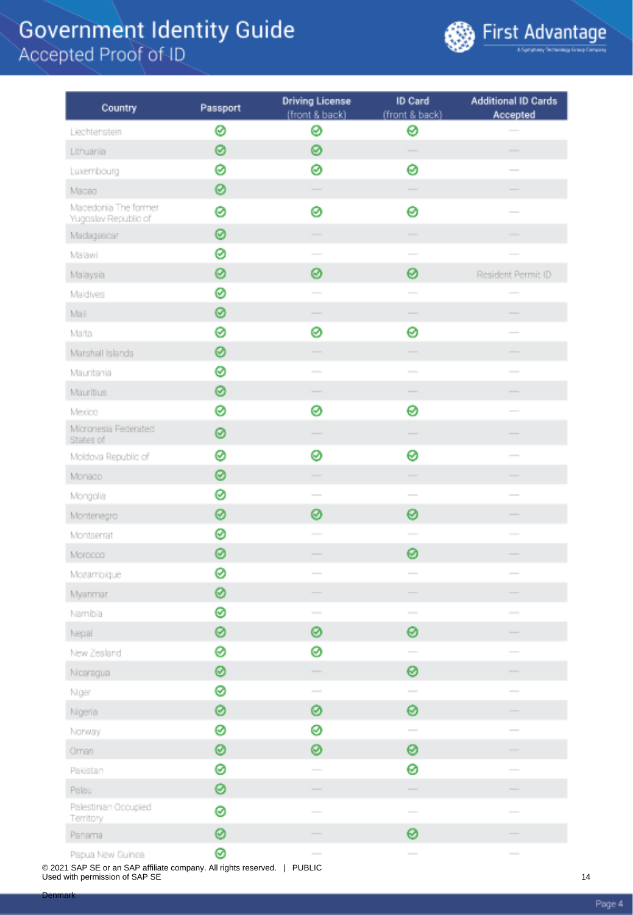

| Country                                      | Passport | <b>Driving License</b><br>(front & back)                                                                                                                                                                                                                                                                                                                                                                                                                                   | ID Card<br>(front & back)                                                                      | <b>Additional ID Cards</b><br>Accepted                                                                                                                                                                                                                                                                                                                                                                                                                                     |
|----------------------------------------------|----------|----------------------------------------------------------------------------------------------------------------------------------------------------------------------------------------------------------------------------------------------------------------------------------------------------------------------------------------------------------------------------------------------------------------------------------------------------------------------------|------------------------------------------------------------------------------------------------|----------------------------------------------------------------------------------------------------------------------------------------------------------------------------------------------------------------------------------------------------------------------------------------------------------------------------------------------------------------------------------------------------------------------------------------------------------------------------|
| Liechtenstein                                | 0        | ⊗                                                                                                                                                                                                                                                                                                                                                                                                                                                                          | ⊗                                                                                              |                                                                                                                                                                                                                                                                                                                                                                                                                                                                            |
| Lithuania                                    | 0        | ⊗                                                                                                                                                                                                                                                                                                                                                                                                                                                                          | $\sim$                                                                                         | $\frac{1}{2} \left( \frac{1}{2} \right) \left( \frac{1}{2} \right) \left( \frac{1}{2} \right) \left( \frac{1}{2} \right) \left( \frac{1}{2} \right) \left( \frac{1}{2} \right) \left( \frac{1}{2} \right) \left( \frac{1}{2} \right) \left( \frac{1}{2} \right) \left( \frac{1}{2} \right) \left( \frac{1}{2} \right) \left( \frac{1}{2} \right) \left( \frac{1}{2} \right) \left( \frac{1}{2} \right) \left( \frac{1}{2} \right) \left( \frac{1}{2} \right) \left( \frac$ |
| Luxembourg                                   | ø        | ⊗                                                                                                                                                                                                                                                                                                                                                                                                                                                                          | 0                                                                                              |                                                                                                                                                                                                                                                                                                                                                                                                                                                                            |
| Macao                                        | 0        |                                                                                                                                                                                                                                                                                                                                                                                                                                                                            |                                                                                                |                                                                                                                                                                                                                                                                                                                                                                                                                                                                            |
| Macedonia The former<br>Yugoslav Republic of | 0        | 0                                                                                                                                                                                                                                                                                                                                                                                                                                                                          | 0                                                                                              |                                                                                                                                                                                                                                                                                                                                                                                                                                                                            |
| Madagascar                                   | ⊗        |                                                                                                                                                                                                                                                                                                                                                                                                                                                                            |                                                                                                |                                                                                                                                                                                                                                                                                                                                                                                                                                                                            |
| Malawi                                       | 0        |                                                                                                                                                                                                                                                                                                                                                                                                                                                                            |                                                                                                |                                                                                                                                                                                                                                                                                                                                                                                                                                                                            |
| Malaysia                                     | 0        | ⊗                                                                                                                                                                                                                                                                                                                                                                                                                                                                          | 0                                                                                              | Resident Permit ID                                                                                                                                                                                                                                                                                                                                                                                                                                                         |
| Maldives                                     | ⊗        |                                                                                                                                                                                                                                                                                                                                                                                                                                                                            | $\sim$                                                                                         |                                                                                                                                                                                                                                                                                                                                                                                                                                                                            |
| Mali                                         | ⊗        | $\frac{1}{2} \left( \frac{1}{2} \right) \left( \frac{1}{2} \right) \left( \frac{1}{2} \right) \left( \frac{1}{2} \right) \left( \frac{1}{2} \right) \left( \frac{1}{2} \right) \left( \frac{1}{2} \right) \left( \frac{1}{2} \right) \left( \frac{1}{2} \right) \left( \frac{1}{2} \right) \left( \frac{1}{2} \right) \left( \frac{1}{2} \right) \left( \frac{1}{2} \right) \left( \frac{1}{2} \right) \left( \frac{1}{2} \right) \left( \frac{1}{2} \right) \left( \frac$ | $\overline{\phantom{a}}$                                                                       | $\overline{\phantom{a}}$                                                                                                                                                                                                                                                                                                                                                                                                                                                   |
| Malta                                        | 0        | ⊗                                                                                                                                                                                                                                                                                                                                                                                                                                                                          | 0                                                                                              | $\frac{1}{2} \left( \frac{1}{2} \right) \left( \frac{1}{2} \right) \left( \frac{1}{2} \right) \left( \frac{1}{2} \right) \left( \frac{1}{2} \right) \left( \frac{1}{2} \right) \left( \frac{1}{2} \right) \left( \frac{1}{2} \right) \left( \frac{1}{2} \right) \left( \frac{1}{2} \right) \left( \frac{1}{2} \right) \left( \frac{1}{2} \right) \left( \frac{1}{2} \right) \left( \frac{1}{2} \right) \left( \frac{1}{2} \right) \left( \frac{1}{2} \right) \left( \frac$ |
| Marshall Islands                             | 0        |                                                                                                                                                                                                                                                                                                                                                                                                                                                                            |                                                                                                |                                                                                                                                                                                                                                                                                                                                                                                                                                                                            |
| Mauritania                                   | 0        | $\sim$                                                                                                                                                                                                                                                                                                                                                                                                                                                                     | $\sim$                                                                                         | $\overline{\phantom{0}}$                                                                                                                                                                                                                                                                                                                                                                                                                                                   |
| Mauritius                                    | 0        |                                                                                                                                                                                                                                                                                                                                                                                                                                                                            |                                                                                                |                                                                                                                                                                                                                                                                                                                                                                                                                                                                            |
| Mexico                                       | 0        | ⊗                                                                                                                                                                                                                                                                                                                                                                                                                                                                          | 0                                                                                              |                                                                                                                                                                                                                                                                                                                                                                                                                                                                            |
| Micronesia Federated<br>States of            | 0        |                                                                                                                                                                                                                                                                                                                                                                                                                                                                            |                                                                                                |                                                                                                                                                                                                                                                                                                                                                                                                                                                                            |
| Moldova Republic of                          | 0        | ⊗                                                                                                                                                                                                                                                                                                                                                                                                                                                                          | ⊗                                                                                              | $\frac{1}{2}$                                                                                                                                                                                                                                                                                                                                                                                                                                                              |
| Monado                                       | 0        |                                                                                                                                                                                                                                                                                                                                                                                                                                                                            | -                                                                                              |                                                                                                                                                                                                                                                                                                                                                                                                                                                                            |
| Mongolia                                     | 0        |                                                                                                                                                                                                                                                                                                                                                                                                                                                                            | $\overline{\phantom{a}}$                                                                       |                                                                                                                                                                                                                                                                                                                                                                                                                                                                            |
| Montenegro                                   | 0        | ⊗                                                                                                                                                                                                                                                                                                                                                                                                                                                                          | 0                                                                                              |                                                                                                                                                                                                                                                                                                                                                                                                                                                                            |
| Montserrat                                   | 0        | $\sim$                                                                                                                                                                                                                                                                                                                                                                                                                                                                     | $\sim$                                                                                         | $\sim$                                                                                                                                                                                                                                                                                                                                                                                                                                                                     |
| Morocco                                      | ◎        |                                                                                                                                                                                                                                                                                                                                                                                                                                                                            | 0                                                                                              |                                                                                                                                                                                                                                                                                                                                                                                                                                                                            |
| Mozambique                                   | ⊗        |                                                                                                                                                                                                                                                                                                                                                                                                                                                                            | $\sim$                                                                                         | $\overline{\phantom{a}}$                                                                                                                                                                                                                                                                                                                                                                                                                                                   |
| Myanmar                                      | 0        |                                                                                                                                                                                                                                                                                                                                                                                                                                                                            |                                                                                                |                                                                                                                                                                                                                                                                                                                                                                                                                                                                            |
| Namibia                                      | ⊗        |                                                                                                                                                                                                                                                                                                                                                                                                                                                                            | $\frac{1}{2} \left( \frac{1}{2} \right) \left( \frac{1}{2} \right) \left( \frac{1}{2} \right)$ |                                                                                                                                                                                                                                                                                                                                                                                                                                                                            |
| Nepal                                        | ⊗        | ⊗                                                                                                                                                                                                                                                                                                                                                                                                                                                                          | 0                                                                                              |                                                                                                                                                                                                                                                                                                                                                                                                                                                                            |
| New Zealand                                  | 0        | ⊗                                                                                                                                                                                                                                                                                                                                                                                                                                                                          |                                                                                                |                                                                                                                                                                                                                                                                                                                                                                                                                                                                            |
| Nicaragua                                    | ⊗        |                                                                                                                                                                                                                                                                                                                                                                                                                                                                            | ⊗                                                                                              |                                                                                                                                                                                                                                                                                                                                                                                                                                                                            |
| Niger                                        | 0        | $\sim$                                                                                                                                                                                                                                                                                                                                                                                                                                                                     | $\sim$                                                                                         |                                                                                                                                                                                                                                                                                                                                                                                                                                                                            |
| Nigeria                                      | 0        | ⊗                                                                                                                                                                                                                                                                                                                                                                                                                                                                          | 0                                                                                              |                                                                                                                                                                                                                                                                                                                                                                                                                                                                            |
| Norway                                       | 0        | ⊗                                                                                                                                                                                                                                                                                                                                                                                                                                                                          | $\overline{\phantom{a}}$                                                                       |                                                                                                                                                                                                                                                                                                                                                                                                                                                                            |
| Oman                                         | ⊗        | ⊗                                                                                                                                                                                                                                                                                                                                                                                                                                                                          | 0                                                                                              | $\overline{\phantom{a}}$                                                                                                                                                                                                                                                                                                                                                                                                                                                   |
| Pakistan                                     | 0        |                                                                                                                                                                                                                                                                                                                                                                                                                                                                            | 0                                                                                              |                                                                                                                                                                                                                                                                                                                                                                                                                                                                            |
| Palau                                        | 0        |                                                                                                                                                                                                                                                                                                                                                                                                                                                                            |                                                                                                |                                                                                                                                                                                                                                                                                                                                                                                                                                                                            |
| Palestinian Occupied<br>Territory            | 0        |                                                                                                                                                                                                                                                                                                                                                                                                                                                                            | $\overline{\phantom{a}}$                                                                       |                                                                                                                                                                                                                                                                                                                                                                                                                                                                            |
| Panama                                       | 0        |                                                                                                                                                                                                                                                                                                                                                                                                                                                                            | 0                                                                                              |                                                                                                                                                                                                                                                                                                                                                                                                                                                                            |
| Papua New Guinea                             | ⊗        | $\frac{1}{2} \left( \frac{1}{2} \right) \left( \frac{1}{2} \right) \left( \frac{1}{2} \right) \left( \frac{1}{2} \right) \left( \frac{1}{2} \right) \left( \frac{1}{2} \right) \left( \frac{1}{2} \right) \left( \frac{1}{2} \right) \left( \frac{1}{2} \right) \left( \frac{1}{2} \right) \left( \frac{1}{2} \right) \left( \frac{1}{2} \right) \left( \frac{1}{2} \right) \left( \frac{1}{2} \right) \left( \frac{1}{2} \right) \left( \frac{1}{2} \right) \left( \frac$ |                                                                                                | $\overline{\phantom{a}}$                                                                                                                                                                                                                                                                                                                                                                                                                                                   |

© 2021 SAP SE or an SAP affiliate company. All rights reserved. | PUBLIC Used with permission of SAP SE

Page 4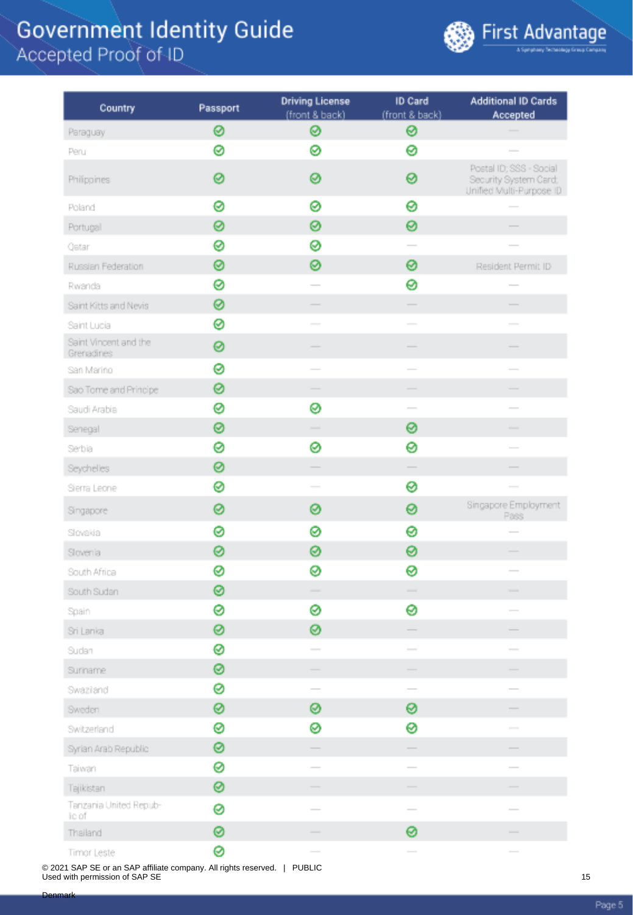

| Country                             | Passport | <b>Driving License</b>                                                                                                                                                                                                                                                                                                                                                                                                                                                     | ID Card                                                                                                                                                                                                                                                                                                                                                                                                                                                                    | <b>Additional ID Cards</b>                                                   |
|-------------------------------------|----------|----------------------------------------------------------------------------------------------------------------------------------------------------------------------------------------------------------------------------------------------------------------------------------------------------------------------------------------------------------------------------------------------------------------------------------------------------------------------------|----------------------------------------------------------------------------------------------------------------------------------------------------------------------------------------------------------------------------------------------------------------------------------------------------------------------------------------------------------------------------------------------------------------------------------------------------------------------------|------------------------------------------------------------------------------|
|                                     |          | (front & back)                                                                                                                                                                                                                                                                                                                                                                                                                                                             | (front & back)                                                                                                                                                                                                                                                                                                                                                                                                                                                             | Accepted                                                                     |
| Paraguay                            | 0        | ⊗                                                                                                                                                                                                                                                                                                                                                                                                                                                                          | ⊗                                                                                                                                                                                                                                                                                                                                                                                                                                                                          |                                                                              |
| Peru                                | ⊗        | Ø                                                                                                                                                                                                                                                                                                                                                                                                                                                                          | 0                                                                                                                                                                                                                                                                                                                                                                                                                                                                          |                                                                              |
| Philippines                         | 0        | 0                                                                                                                                                                                                                                                                                                                                                                                                                                                                          | 0                                                                                                                                                                                                                                                                                                                                                                                                                                                                          | Postal ID; SSS - Social<br>Security System Card;<br>Unified Multi-Purpose ID |
| Poland                              | 0        | 0                                                                                                                                                                                                                                                                                                                                                                                                                                                                          | 0                                                                                                                                                                                                                                                                                                                                                                                                                                                                          |                                                                              |
| Portugal                            | 0        | 0                                                                                                                                                                                                                                                                                                                                                                                                                                                                          | 0                                                                                                                                                                                                                                                                                                                                                                                                                                                                          |                                                                              |
| Qatar                               | 0        | ⊗                                                                                                                                                                                                                                                                                                                                                                                                                                                                          |                                                                                                                                                                                                                                                                                                                                                                                                                                                                            |                                                                              |
| Russian Federation                  | 0        | ⊗                                                                                                                                                                                                                                                                                                                                                                                                                                                                          | 0                                                                                                                                                                                                                                                                                                                                                                                                                                                                          | Resident Permit ID                                                           |
| Rwanda                              | 0        |                                                                                                                                                                                                                                                                                                                                                                                                                                                                            | 0                                                                                                                                                                                                                                                                                                                                                                                                                                                                          |                                                                              |
| Saint Kitts and Nevis               | 0        |                                                                                                                                                                                                                                                                                                                                                                                                                                                                            | $\overline{\phantom{a}}$                                                                                                                                                                                                                                                                                                                                                                                                                                                   |                                                                              |
| Saint Lucia                         | ⊗        |                                                                                                                                                                                                                                                                                                                                                                                                                                                                            |                                                                                                                                                                                                                                                                                                                                                                                                                                                                            |                                                                              |
| Saint Vincent and the<br>Grenadines | 0        |                                                                                                                                                                                                                                                                                                                                                                                                                                                                            |                                                                                                                                                                                                                                                                                                                                                                                                                                                                            |                                                                              |
| San Marino                          | 0        |                                                                                                                                                                                                                                                                                                                                                                                                                                                                            |                                                                                                                                                                                                                                                                                                                                                                                                                                                                            |                                                                              |
| Sao Tome and Principe               | 0        |                                                                                                                                                                                                                                                                                                                                                                                                                                                                            |                                                                                                                                                                                                                                                                                                                                                                                                                                                                            |                                                                              |
| Saudi Arabia                        | 0        | ⊗                                                                                                                                                                                                                                                                                                                                                                                                                                                                          |                                                                                                                                                                                                                                                                                                                                                                                                                                                                            |                                                                              |
| Senegal                             | ⊗        | $\overline{\phantom{a}}$                                                                                                                                                                                                                                                                                                                                                                                                                                                   | 0                                                                                                                                                                                                                                                                                                                                                                                                                                                                          | -                                                                            |
| Serbia                              | 0        | ⊗                                                                                                                                                                                                                                                                                                                                                                                                                                                                          | 0                                                                                                                                                                                                                                                                                                                                                                                                                                                                          | $\overline{\phantom{a}}$                                                     |
| Seychelles                          | 0        |                                                                                                                                                                                                                                                                                                                                                                                                                                                                            |                                                                                                                                                                                                                                                                                                                                                                                                                                                                            |                                                                              |
| Sierra Leone                        | ⊗        | $\sim$                                                                                                                                                                                                                                                                                                                                                                                                                                                                     | ⊗                                                                                                                                                                                                                                                                                                                                                                                                                                                                          |                                                                              |
| Singapore                           | 0        | 0                                                                                                                                                                                                                                                                                                                                                                                                                                                                          | 0                                                                                                                                                                                                                                                                                                                                                                                                                                                                          | Singapore Employment<br>Pass                                                 |
| Slovakia                            | 0        | ⊗                                                                                                                                                                                                                                                                                                                                                                                                                                                                          | 0                                                                                                                                                                                                                                                                                                                                                                                                                                                                          | $\sim$                                                                       |
| Slovenia                            | 0        | 0                                                                                                                                                                                                                                                                                                                                                                                                                                                                          | 0                                                                                                                                                                                                                                                                                                                                                                                                                                                                          | $\overline{\phantom{a}}$                                                     |
| South Africa                        | ⊗        | ⊗                                                                                                                                                                                                                                                                                                                                                                                                                                                                          | ⊗                                                                                                                                                                                                                                                                                                                                                                                                                                                                          |                                                                              |
| South Sudan                         | ⊗        |                                                                                                                                                                                                                                                                                                                                                                                                                                                                            |                                                                                                                                                                                                                                                                                                                                                                                                                                                                            |                                                                              |
| Spain                               | ⊗        | ⊗                                                                                                                                                                                                                                                                                                                                                                                                                                                                          | 0                                                                                                                                                                                                                                                                                                                                                                                                                                                                          |                                                                              |
| Sri Lanka                           | ⊗        | ⊗                                                                                                                                                                                                                                                                                                                                                                                                                                                                          |                                                                                                                                                                                                                                                                                                                                                                                                                                                                            |                                                                              |
| Sudan                               | 0        | $\frac{1}{2} \left( \frac{1}{2} \right) \left( \frac{1}{2} \right) \left( \frac{1}{2} \right) \left( \frac{1}{2} \right) \left( \frac{1}{2} \right) \left( \frac{1}{2} \right) \left( \frac{1}{2} \right) \left( \frac{1}{2} \right) \left( \frac{1}{2} \right) \left( \frac{1}{2} \right) \left( \frac{1}{2} \right) \left( \frac{1}{2} \right) \left( \frac{1}{2} \right) \left( \frac{1}{2} \right) \left( \frac{1}{2} \right) \left( \frac{1}{2} \right) \left( \frac$ | $\overline{\phantom{a}}$                                                                                                                                                                                                                                                                                                                                                                                                                                                   | $\frac{1}{2}$                                                                |
| Suriname                            | ⊗        |                                                                                                                                                                                                                                                                                                                                                                                                                                                                            |                                                                                                                                                                                                                                                                                                                                                                                                                                                                            |                                                                              |
| Swaziand                            | ⊗        |                                                                                                                                                                                                                                                                                                                                                                                                                                                                            | $\sim$                                                                                                                                                                                                                                                                                                                                                                                                                                                                     |                                                                              |
| Sweden                              | ⊗        | ⊗                                                                                                                                                                                                                                                                                                                                                                                                                                                                          | 0                                                                                                                                                                                                                                                                                                                                                                                                                                                                          |                                                                              |
| Switzerland                         | ⊗        | ⊗                                                                                                                                                                                                                                                                                                                                                                                                                                                                          | 0                                                                                                                                                                                                                                                                                                                                                                                                                                                                          |                                                                              |
| Syrian Arab Republic                | ◎        | -                                                                                                                                                                                                                                                                                                                                                                                                                                                                          |                                                                                                                                                                                                                                                                                                                                                                                                                                                                            | $\overline{\phantom{a}}$                                                     |
| Taiwan                              | ⊗        |                                                                                                                                                                                                                                                                                                                                                                                                                                                                            | $\frac{1}{2} \left( \frac{1}{2} \right) \left( \frac{1}{2} \right) \left( \frac{1}{2} \right) \left( \frac{1}{2} \right) \left( \frac{1}{2} \right) \left( \frac{1}{2} \right) \left( \frac{1}{2} \right) \left( \frac{1}{2} \right) \left( \frac{1}{2} \right) \left( \frac{1}{2} \right) \left( \frac{1}{2} \right) \left( \frac{1}{2} \right) \left( \frac{1}{2} \right) \left( \frac{1}{2} \right) \left( \frac{1}{2} \right) \left( \frac{1}{2} \right) \left( \frac$ |                                                                              |
| Tajikistan                          | 0        |                                                                                                                                                                                                                                                                                                                                                                                                                                                                            |                                                                                                                                                                                                                                                                                                                                                                                                                                                                            |                                                                              |
| Tanzania United Repub-<br>ic of     | 0        |                                                                                                                                                                                                                                                                                                                                                                                                                                                                            |                                                                                                                                                                                                                                                                                                                                                                                                                                                                            |                                                                              |
| Thailand                            | ⊗        |                                                                                                                                                                                                                                                                                                                                                                                                                                                                            | 0                                                                                                                                                                                                                                                                                                                                                                                                                                                                          |                                                                              |
| Timor Leste                         | ⊗        |                                                                                                                                                                                                                                                                                                                                                                                                                                                                            |                                                                                                                                                                                                                                                                                                                                                                                                                                                                            |                                                                              |

© 2021 SAP SE or an SAP affiliate company. All rights reserved. | PUBLIC Used with permission of SAP SE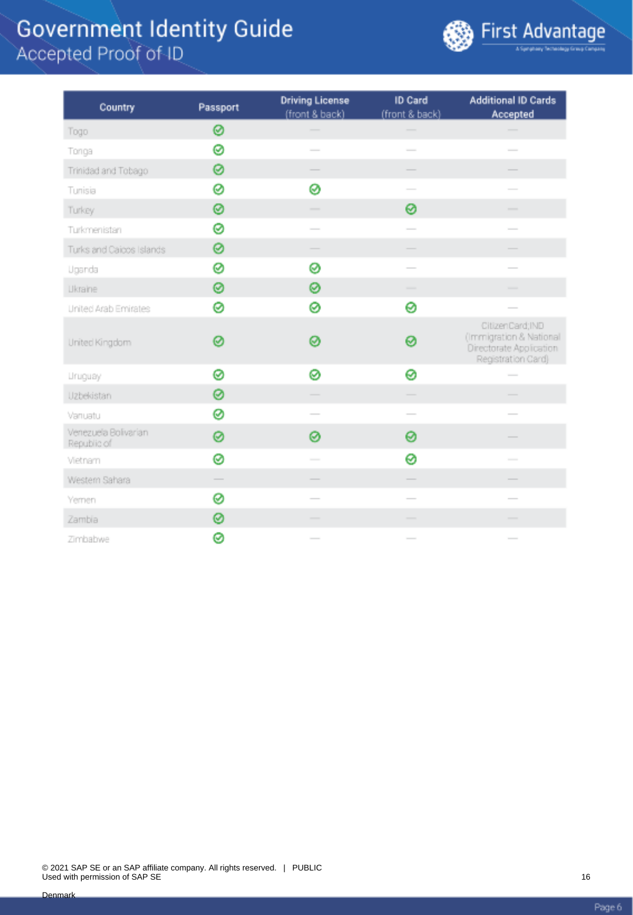

| Country                             | Passport      | <b>Driving License</b><br>(front & back)                                                                                                                                                                                                                                                                                                                                                                                                                                   | <b>ID Card</b><br>(front & back)                                                                                                                                                                                                                                                                                                                                                                                                                                           | <b>Additional ID Cards</b><br>Accepted                                                                                                                                                                                                                                                                                                                                                                                                                                     |
|-------------------------------------|---------------|----------------------------------------------------------------------------------------------------------------------------------------------------------------------------------------------------------------------------------------------------------------------------------------------------------------------------------------------------------------------------------------------------------------------------------------------------------------------------|----------------------------------------------------------------------------------------------------------------------------------------------------------------------------------------------------------------------------------------------------------------------------------------------------------------------------------------------------------------------------------------------------------------------------------------------------------------------------|----------------------------------------------------------------------------------------------------------------------------------------------------------------------------------------------------------------------------------------------------------------------------------------------------------------------------------------------------------------------------------------------------------------------------------------------------------------------------|
| Togo                                | 0             |                                                                                                                                                                                                                                                                                                                                                                                                                                                                            |                                                                                                                                                                                                                                                                                                                                                                                                                                                                            |                                                                                                                                                                                                                                                                                                                                                                                                                                                                            |
| Tonga                               | 0             | $\sim$                                                                                                                                                                                                                                                                                                                                                                                                                                                                     | $\frac{1}{2}$                                                                                                                                                                                                                                                                                                                                                                                                                                                              | $\frac{1}{2}$                                                                                                                                                                                                                                                                                                                                                                                                                                                              |
| Trinidad and Tobago                 | 0             |                                                                                                                                                                                                                                                                                                                                                                                                                                                                            |                                                                                                                                                                                                                                                                                                                                                                                                                                                                            |                                                                                                                                                                                                                                                                                                                                                                                                                                                                            |
| Tunisia                             | 0             | Ø                                                                                                                                                                                                                                                                                                                                                                                                                                                                          | $\overline{\phantom{a}}$                                                                                                                                                                                                                                                                                                                                                                                                                                                   | $\overline{\phantom{a}}$                                                                                                                                                                                                                                                                                                                                                                                                                                                   |
| Turkey                              | 0             | $\frac{1}{2} \left( \frac{1}{2} \right) \left( \frac{1}{2} \right) \left( \frac{1}{2} \right) \left( \frac{1}{2} \right) \left( \frac{1}{2} \right) \left( \frac{1}{2} \right) \left( \frac{1}{2} \right) \left( \frac{1}{2} \right) \left( \frac{1}{2} \right) \left( \frac{1}{2} \right) \left( \frac{1}{2} \right) \left( \frac{1}{2} \right) \left( \frac{1}{2} \right) \left( \frac{1}{2} \right) \left( \frac{1}{2} \right) \left( \frac{1}{2} \right) \left( \frac$ | ⊗                                                                                                                                                                                                                                                                                                                                                                                                                                                                          | $\frac{1}{2}$                                                                                                                                                                                                                                                                                                                                                                                                                                                              |
| Turkmenistan                        | 0             | $\frac{1}{2} \left( \frac{1}{2} \right) \left( \frac{1}{2} \right) \left( \frac{1}{2} \right) \left( \frac{1}{2} \right) \left( \frac{1}{2} \right) \left( \frac{1}{2} \right) \left( \frac{1}{2} \right) \left( \frac{1}{2} \right) \left( \frac{1}{2} \right) \left( \frac{1}{2} \right) \left( \frac{1}{2} \right) \left( \frac{1}{2} \right) \left( \frac{1}{2} \right) \left( \frac{1}{2} \right) \left( \frac{1}{2} \right) \left( \frac{1}{2} \right) \left( \frac$ | $\frac{1}{2}$                                                                                                                                                                                                                                                                                                                                                                                                                                                              | $\overline{\phantom{a}}$                                                                                                                                                                                                                                                                                                                                                                                                                                                   |
| Turks and Caicos Islands            | 0             |                                                                                                                                                                                                                                                                                                                                                                                                                                                                            |                                                                                                                                                                                                                                                                                                                                                                                                                                                                            |                                                                                                                                                                                                                                                                                                                                                                                                                                                                            |
| Uganda                              | 0             | ⊗                                                                                                                                                                                                                                                                                                                                                                                                                                                                          | $\overline{\phantom{a}}$                                                                                                                                                                                                                                                                                                                                                                                                                                                   | $\overline{\phantom{a}}$                                                                                                                                                                                                                                                                                                                                                                                                                                                   |
| Ukraine                             | ⊗             | 0                                                                                                                                                                                                                                                                                                                                                                                                                                                                          | -                                                                                                                                                                                                                                                                                                                                                                                                                                                                          | -                                                                                                                                                                                                                                                                                                                                                                                                                                                                          |
| United Arab Emirates                | ø             | ø                                                                                                                                                                                                                                                                                                                                                                                                                                                                          | 0                                                                                                                                                                                                                                                                                                                                                                                                                                                                          |                                                                                                                                                                                                                                                                                                                                                                                                                                                                            |
| United Kingdom                      | Ø             | ൫                                                                                                                                                                                                                                                                                                                                                                                                                                                                          | 0                                                                                                                                                                                                                                                                                                                                                                                                                                                                          | CitizenCard:IND<br>(Immigration & National<br>Directorate Application<br>Registration Card)                                                                                                                                                                                                                                                                                                                                                                                |
| <b>Uruguay</b>                      | 0             | ø                                                                                                                                                                                                                                                                                                                                                                                                                                                                          | 0                                                                                                                                                                                                                                                                                                                                                                                                                                                                          | $\frac{1}{2} \left( \frac{1}{2} \right) \left( \frac{1}{2} \right) \left( \frac{1}{2} \right) \left( \frac{1}{2} \right) \left( \frac{1}{2} \right) \left( \frac{1}{2} \right) \left( \frac{1}{2} \right) \left( \frac{1}{2} \right) \left( \frac{1}{2} \right) \left( \frac{1}{2} \right) \left( \frac{1}{2} \right) \left( \frac{1}{2} \right) \left( \frac{1}{2} \right) \left( \frac{1}{2} \right) \left( \frac{1}{2} \right) \left( \frac{1}{2} \right) \left( \frac$ |
| Uzbekistan                          | ø             | $\frac{1}{2} \left( \frac{1}{2} \right) \left( \frac{1}{2} \right) \left( \frac{1}{2} \right) \left( \frac{1}{2} \right) \left( \frac{1}{2} \right) \left( \frac{1}{2} \right) \left( \frac{1}{2} \right) \left( \frac{1}{2} \right) \left( \frac{1}{2} \right) \left( \frac{1}{2} \right) \left( \frac{1}{2} \right) \left( \frac{1}{2} \right) \left( \frac{1}{2} \right) \left( \frac{1}{2} \right) \left( \frac{1}{2} \right) \left( \frac{1}{2} \right) \left( \frac$ |                                                                                                                                                                                                                                                                                                                                                                                                                                                                            | $\overline{\phantom{a}}$                                                                                                                                                                                                                                                                                                                                                                                                                                                   |
| Vanuatu                             | 0             |                                                                                                                                                                                                                                                                                                                                                                                                                                                                            | $\overline{\phantom{a}}$                                                                                                                                                                                                                                                                                                                                                                                                                                                   |                                                                                                                                                                                                                                                                                                                                                                                                                                                                            |
| Venezuela Bolivarian<br>Republic of | 0             | ø                                                                                                                                                                                                                                                                                                                                                                                                                                                                          | 0                                                                                                                                                                                                                                                                                                                                                                                                                                                                          |                                                                                                                                                                                                                                                                                                                                                                                                                                                                            |
| Vietnam                             | ⊗             |                                                                                                                                                                                                                                                                                                                                                                                                                                                                            | 0                                                                                                                                                                                                                                                                                                                                                                                                                                                                          | $\frac{1}{2}$                                                                                                                                                                                                                                                                                                                                                                                                                                                              |
| Western Sahara                      | $\frac{1}{2}$ |                                                                                                                                                                                                                                                                                                                                                                                                                                                                            | $\frac{1}{2} \left( \frac{1}{2} \right) \left( \frac{1}{2} \right) \left( \frac{1}{2} \right) \left( \frac{1}{2} \right) \left( \frac{1}{2} \right) \left( \frac{1}{2} \right) \left( \frac{1}{2} \right) \left( \frac{1}{2} \right) \left( \frac{1}{2} \right) \left( \frac{1}{2} \right) \left( \frac{1}{2} \right) \left( \frac{1}{2} \right) \left( \frac{1}{2} \right) \left( \frac{1}{2} \right) \left( \frac{1}{2} \right) \left( \frac{1}{2} \right) \left( \frac$ | $\overline{\phantom{a}}$                                                                                                                                                                                                                                                                                                                                                                                                                                                   |
| Yemen                               | ⊗             |                                                                                                                                                                                                                                                                                                                                                                                                                                                                            |                                                                                                                                                                                                                                                                                                                                                                                                                                                                            |                                                                                                                                                                                                                                                                                                                                                                                                                                                                            |
| Zambia                              | 0             |                                                                                                                                                                                                                                                                                                                                                                                                                                                                            | $\overline{\phantom{a}}$                                                                                                                                                                                                                                                                                                                                                                                                                                                   |                                                                                                                                                                                                                                                                                                                                                                                                                                                                            |
| Zimbabwe                            | ⊗             | $\frac{1}{2} \left( \frac{1}{2} \right) \left( \frac{1}{2} \right) \left( \frac{1}{2} \right) \left( \frac{1}{2} \right) \left( \frac{1}{2} \right) \left( \frac{1}{2} \right) \left( \frac{1}{2} \right) \left( \frac{1}{2} \right) \left( \frac{1}{2} \right) \left( \frac{1}{2} \right) \left( \frac{1}{2} \right) \left( \frac{1}{2} \right) \left( \frac{1}{2} \right) \left( \frac{1}{2} \right) \left( \frac{1}{2} \right) \left( \frac{1}{2} \right) \left( \frac$ | $\sim$                                                                                                                                                                                                                                                                                                                                                                                                                                                                     | $\frac{1}{2}$                                                                                                                                                                                                                                                                                                                                                                                                                                                              |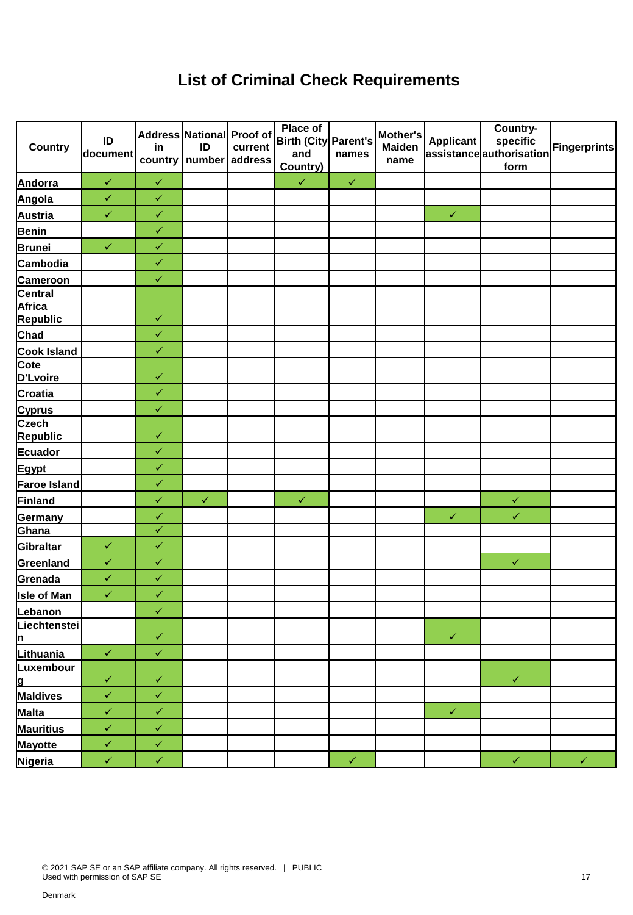### **List of Criminal Check Requirements**

| <b>Country</b>                                          | ID<br>document | in           | Address National Proof of<br>ID<br>country   number | current<br>address | <b>Place of</b><br>Birth (City Parent's<br>and<br>Country) | names        | Mother's<br><b>Maiden</b><br>name | <b>Applicant</b> | Country-<br>specific<br>assistanceauthorisation<br>form | <b>Fingerprints</b> |
|---------------------------------------------------------|----------------|--------------|-----------------------------------------------------|--------------------|------------------------------------------------------------|--------------|-----------------------------------|------------------|---------------------------------------------------------|---------------------|
| Andorra                                                 | $\checkmark$   | $\checkmark$ |                                                     |                    | $\checkmark$                                               | $\checkmark$ |                                   |                  |                                                         |                     |
| Angola                                                  | $\checkmark$   | $\checkmark$ |                                                     |                    |                                                            |              |                                   |                  |                                                         |                     |
| Austria                                                 | $\checkmark$   | $\checkmark$ |                                                     |                    |                                                            |              |                                   | $\checkmark$     |                                                         |                     |
| <b>Benin</b>                                            |                | $\checkmark$ |                                                     |                    |                                                            |              |                                   |                  |                                                         |                     |
| <b>Brunei</b>                                           | $\checkmark$   | $\checkmark$ |                                                     |                    |                                                            |              |                                   |                  |                                                         |                     |
| Cambodia                                                |                | $\checkmark$ |                                                     |                    |                                                            |              |                                   |                  |                                                         |                     |
|                                                         |                | $\checkmark$ |                                                     |                    |                                                            |              |                                   |                  |                                                         |                     |
| Cameroon<br>Central<br><b>Africa</b><br><b>Republic</b> |                | $\checkmark$ |                                                     |                    |                                                            |              |                                   |                  |                                                         |                     |
| Chad                                                    |                | $\checkmark$ |                                                     |                    |                                                            |              |                                   |                  |                                                         |                     |
|                                                         |                | $\checkmark$ |                                                     |                    |                                                            |              |                                   |                  |                                                         |                     |
| Cook Island<br>D'Lvoire                                 |                | $\checkmark$ |                                                     |                    |                                                            |              |                                   |                  |                                                         |                     |
| <b>Croatia</b>                                          |                | $\checkmark$ |                                                     |                    |                                                            |              |                                   |                  |                                                         |                     |
| <b>Cyprus</b>                                           |                | $\checkmark$ |                                                     |                    |                                                            |              |                                   |                  |                                                         |                     |
| <b>Czech</b><br><b>Republic</b>                         |                | $\checkmark$ |                                                     |                    |                                                            |              |                                   |                  |                                                         |                     |
| Ecuador                                                 |                | $\checkmark$ |                                                     |                    |                                                            |              |                                   |                  |                                                         |                     |
| Egypt                                                   |                | $\checkmark$ |                                                     |                    |                                                            |              |                                   |                  |                                                         |                     |
| Faroe Island                                            |                | $\checkmark$ |                                                     |                    |                                                            |              |                                   |                  |                                                         |                     |
| Finland                                                 |                | $\checkmark$ | $\checkmark$                                        |                    | $\checkmark$                                               |              |                                   |                  | $\checkmark$                                            |                     |
| Germany                                                 |                | $\checkmark$ |                                                     |                    |                                                            |              |                                   | $\checkmark$     | $\checkmark$                                            |                     |
| Ghana                                                   |                | $\checkmark$ |                                                     |                    |                                                            |              |                                   |                  |                                                         |                     |
| Gibraltar                                               | $\checkmark$   | $\checkmark$ |                                                     |                    |                                                            |              |                                   |                  |                                                         |                     |
| Greenland                                               | $\checkmark$   | $\checkmark$ |                                                     |                    |                                                            |              |                                   |                  | $\checkmark$                                            |                     |
| Grenada                                                 | $\checkmark$   | $\checkmark$ |                                                     |                    |                                                            |              |                                   |                  |                                                         |                     |
| <b>Isle of Man</b>                                      | $\checkmark$   | $\checkmark$ |                                                     |                    |                                                            |              |                                   |                  |                                                         |                     |
| Lebanon                                                 |                | $\checkmark$ |                                                     |                    |                                                            |              |                                   |                  |                                                         |                     |
| Liechtenstei<br><u> n</u>                               |                | $\checkmark$ |                                                     |                    |                                                            |              |                                   | $\checkmark$     |                                                         |                     |
| Lithuania                                               | $\checkmark$   | $\checkmark$ |                                                     |                    |                                                            |              |                                   |                  |                                                         |                     |
| Luxembour                                               |                |              |                                                     |                    |                                                            |              |                                   |                  |                                                         |                     |
| <u>lg</u>                                               | $\checkmark$   | $\checkmark$ |                                                     |                    |                                                            |              |                                   |                  | $\checkmark$                                            |                     |
| Maldives                                                | $\checkmark$   | $\checkmark$ |                                                     |                    |                                                            |              |                                   |                  |                                                         |                     |
| Malta                                                   | $\checkmark$   | $\checkmark$ |                                                     |                    |                                                            |              |                                   | $\checkmark$     |                                                         |                     |
| <b>Mauritius</b>                                        | $\checkmark$   | $\checkmark$ |                                                     |                    |                                                            |              |                                   |                  |                                                         |                     |
| <b>Mayotte</b>                                          | $\checkmark$   | $\checkmark$ |                                                     |                    |                                                            |              |                                   |                  |                                                         |                     |
| Nigeria                                                 | $\checkmark$   | $\checkmark$ |                                                     |                    |                                                            | $\checkmark$ |                                   |                  | $\checkmark$                                            | $\checkmark$        |